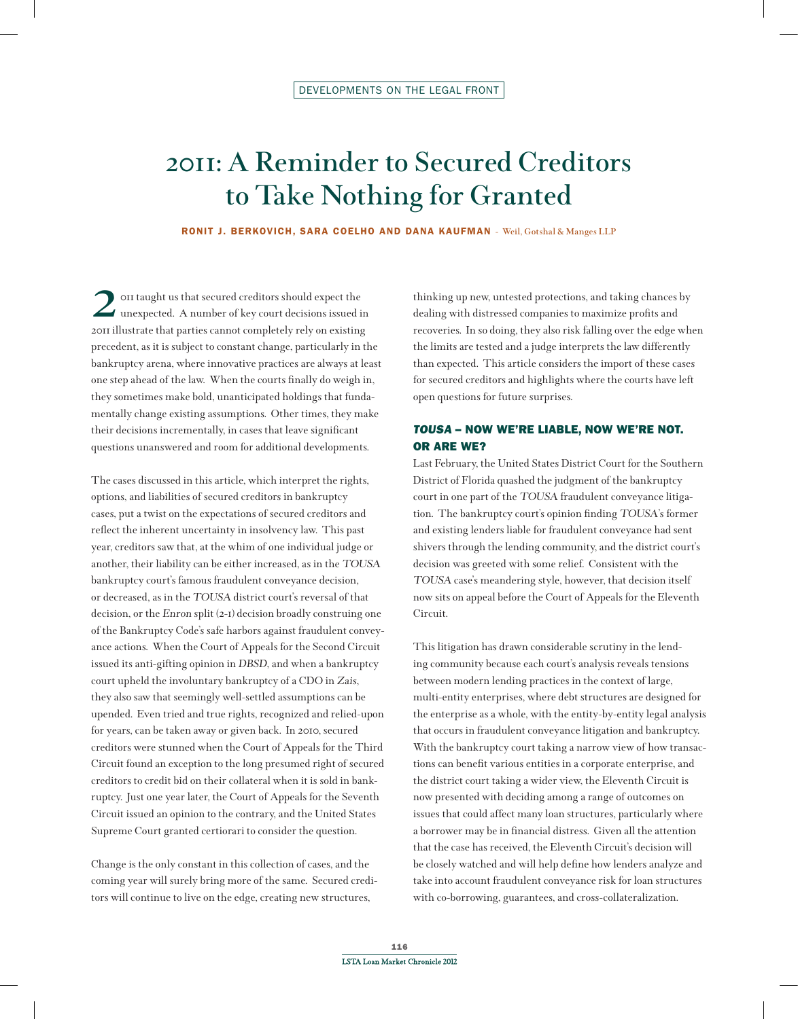# **2011: A Reminder to Secured Creditors to Take Nothing for Granted**

Ronit J. Berkovich, Sara Coelho and Dana Kaufman **- Weil, Gotshal & Manges LLP** 

2011 taught us that secured creditors should expect the unexpected. A number of key court decisions issued i unexpected. A number of key court decisions issued in 2011 illustrate that parties cannot completely rely on existing precedent, as it is subject to constant change, particularly in the bankruptcy arena, where innovative practices are always at least one step ahead of the law. When the courts finally do weigh in, they sometimes make bold, unanticipated holdings that fundamentally change existing assumptions. Other times, they make their decisions incrementally, in cases that leave significant questions unanswered and room for additional developments.

The cases discussed in this article, which interpret the rights, options, and liabilities of secured creditors in bankruptcy cases, put a twist on the expectations of secured creditors and reflect the inherent uncertainty in insolvency law. This past year, creditors saw that, at the whim of one individual judge or another, their liability can be either increased, as in the TOUSA bankruptcy court's famous fraudulent conveyance decision, or decreased, as in the TOUSA district court's reversal of that decision, or the Enron split (2-1) decision broadly construing one of the Bankruptcy Code's safe harbors against fraudulent conveyance actions. When the Court of Appeals for the Second Circuit issued its anti-gifting opinion in DBSD, and when a bankruptcy court upheld the involuntary bankruptcy of a CDO in Zais, they also saw that seemingly well-settled assumptions can be upended. Even tried and true rights, recognized and relied-upon for years, can be taken away or given back. In 2010, secured creditors were stunned when the Court of Appeals for the Third Circuit found an exception to the long presumed right of secured creditors to credit bid on their collateral when it is sold in bankruptcy. Just one year later, the Court of Appeals for the Seventh Circuit issued an opinion to the contrary, and the United States Supreme Court granted certiorari to consider the question.

Change is the only constant in this collection of cases, and the coming year will surely bring more of the same. Secured creditors will continue to live on the edge, creating new structures,

thinking up new, untested protections, and taking chances by dealing with distressed companies to maximize profits and recoveries. In so doing, they also risk falling over the edge when the limits are tested and a judge interprets the law differently than expected. This article considers the import of these cases for secured creditors and highlights where the courts have left open questions for future surprises.

# TOUSA – NOW WE'RE LIABLE, NOW WE'RE NOT. OR ARE WE?

Last February, the United States District Court for the Southern District of Florida quashed the judgment of the bankruptcy court in one part of the TOUSA fraudulent conveyance litigation. The bankruptcy court's opinion finding TOUSA's former and existing lenders liable for fraudulent conveyance had sent shivers through the lending community, and the district court's decision was greeted with some relief. Consistent with the TOUSA case's meandering style, however, that decision itself now sits on appeal before the Court of Appeals for the Eleventh Circuit.

This litigation has drawn considerable scrutiny in the lending community because each court's analysis reveals tensions between modern lending practices in the context of large, multi-entity enterprises, where debt structures are designed for the enterprise as a whole, with the entity-by-entity legal analysis that occurs in fraudulent conveyance litigation and bankruptcy. With the bankruptcy court taking a narrow view of how transactions can benefit various entities in a corporate enterprise, and the district court taking a wider view, the Eleventh Circuit is now presented with deciding among a range of outcomes on issues that could affect many loan structures, particularly where a borrower may be in financial distress. Given all the attention that the case has received, the Eleventh Circuit's decision will be closely watched and will help define how lenders analyze and take into account fraudulent conveyance risk for loan structures with co-borrowing, guarantees, and cross-collateralization.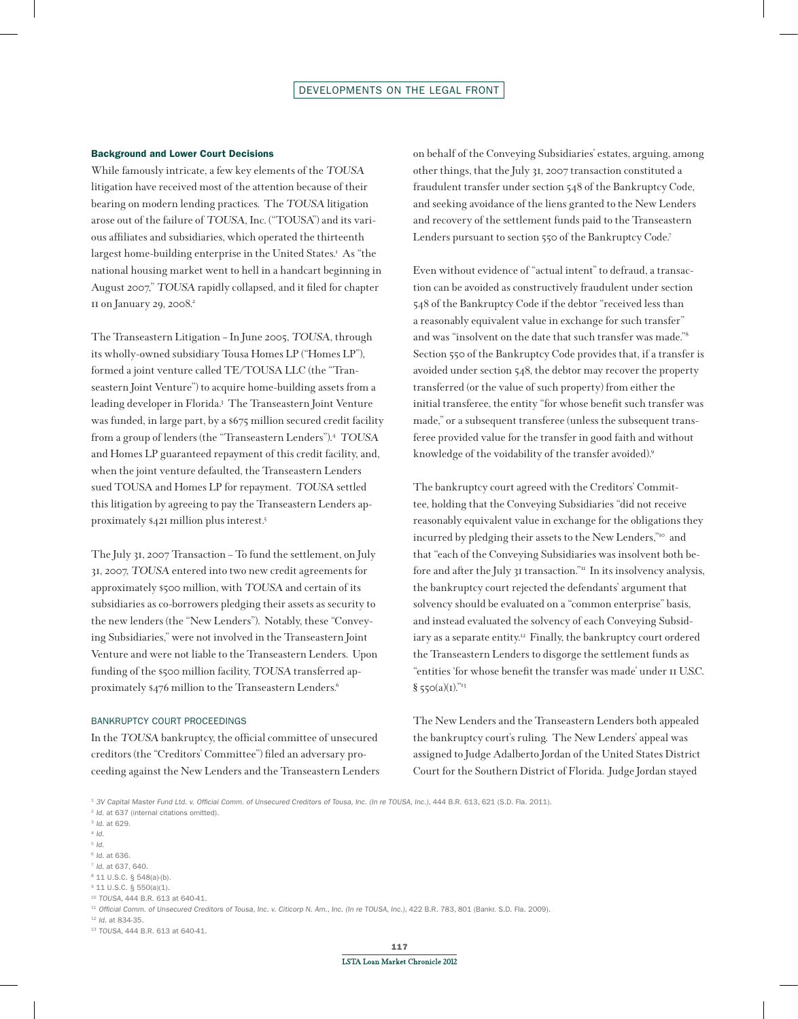#### Background and Lower Court Decisions

While famously intricate, a few key elements of the TOUSA litigation have received most of the attention because of their bearing on modern lending practices. The TOUSA litigation arose out of the failure of TOUSA, Inc. ("TOUSA") and its various affiliates and subsidiaries, which operated the thirteenth largest home-building enterprise in the United States.<sup>1</sup> As "the national housing market went to hell in a handcart beginning in August 2007," TOUSA rapidly collapsed, and it filed for chapter 11 on January 29, 2008.<sup>2</sup>

The Transeastern Litigation – In June 2005, TOUSA, through its wholly-owned subsidiary Tousa Homes LP ("Homes LP"), formed a joint venture called TE/TOUSA LLC (the "Transeastern Joint Venture") to acquire home-building assets from a leading developer in Florida.3 The Transeastern Joint Venture was funded, in large part, by a \$675 million secured credit facility from a group of lenders (the "Transeastern Lenders").4 TOUSA and Homes LP guaranteed repayment of this credit facility, and, when the joint venture defaulted, the Transeastern Lenders sued TOUSA and Homes LP for repayment. TOUSA settled this litigation by agreeing to pay the Transeastern Lenders approximately \$421 million plus interest.5

The July 31, 2007 Transaction – To fund the settlement, on July 31, 2007, TOUSA entered into two new credit agreements for approximately \$500 million, with TOUSA and certain of its subsidiaries as co-borrowers pledging their assets as security to the new lenders (the "New Lenders"). Notably, these "Conveying Subsidiaries," were not involved in the Transeastern Joint Venture and were not liable to the Transeastern Lenders. Upon funding of the \$500 million facility, TOUSA transferred approximately \$476 million to the Transeastern Lenders.6

#### Bankruptcy Court Proceedings

In the TOUSA bankruptcy, the official committee of unsecured creditors (the "Creditors' Committee") filed an adversary proceeding against the New Lenders and the Transeastern Lenders on behalf of the Conveying Subsidiaries' estates, arguing, among other things, that the July 31, 2007 transaction constituted a fraudulent transfer under section 548 of the Bankruptcy Code, and seeking avoidance of the liens granted to the New Lenders and recovery of the settlement funds paid to the Transeastern Lenders pursuant to section 550 of the Bankruptcy Code.<sup>7</sup> j

Even without evidence of "actual intent" to defraud, a transaction can be avoided as constructively fraudulent under section 548 of the Bankruptcy Code if the debtor "received less than a reasonably equivalent value in exchange for such transfer" and was "insolvent on the date that such transfer was made."8 Section 550 of the Bankruptcy Code provides that, if a transfer is avoided under section 548, the debtor may recover the property transferred (or the value of such property) from either the initial transferee, the entity "for whose benefit such transfer was made," or a subsequent transferee (unless the subsequent transferee provided value for the transfer in good faith and without knowledge of the voidability of the transfer avoided).9  $\overline{a}$ 

The bankruptcy court agreed with the Creditors' Committee, holding that the Conveying Subsidiaries "did not receive reasonably equivalent value in exchange for the obligations they incurred by pledging their assets to the New Lenders,"10 and that "each of the Conveying Subsidiaries was insolvent both before and after the July 31 transaction." $\scriptstyle\rm{^m}$  In its insolvency analysis, the bankruptcy court rejected the defendants' argument that solvency should be evaluated on a "common enterprise" basis, and instead evaluated the solvency of each Conveying Subsidiary as a separate entity.<sup>12</sup> Finally, the bankruptcy court ordered the Transeastern Lenders to disgorge the settlement funds as "entities 'for whose benefit the transfer was made' under 11 U.S.C.  $§$  550(a)(1)."<sup>13</sup>

The New Lenders and the Transeastern Lenders both appealed the bankruptcy court's ruling. The New Lenders' appeal was assigned to Judge Adalberto Jordan of the United States District Court for the Southern District of Florida. Judge Jordan stayed

<sup>1</sup> 3V Capital Master Fund Ltd. v. Official Comm. of Unsecured Creditors of Tousa, Inc. (In re TOUSA, Inc.), 444 B.R. 613, 621 (S.D. Fla. 2011).

- <sup>3</sup> Id. at 629.
- $4$  Id.

- <sup>6</sup> Id. at 636.
- <sup>7</sup> Id. at 637, 640.

<sup>12</sup> Id. at 834-35

<sup>2</sup> Id. at 637 (internal citations omitted).

<sup>5</sup> Id.

<sup>8 11</sup> U.S.C. § 548(a)-(b).

<sup>9 11</sup> U.S.C. § 550(a)(1).

<sup>10</sup> TOUSA, 444 B.R. 613 at 640-41.

<sup>&</sup>lt;sup>11</sup> Official Comm. of Unsecured Creditors of Tousa, Inc. v. Citicorp N. Am., Inc. (In re TOUSA, Inc.), 422 B.R. 783, 801 (Bankr. S.D. Fla. 2009).

<sup>13</sup> TOUSA, 444 B.R. 613 at 640-41.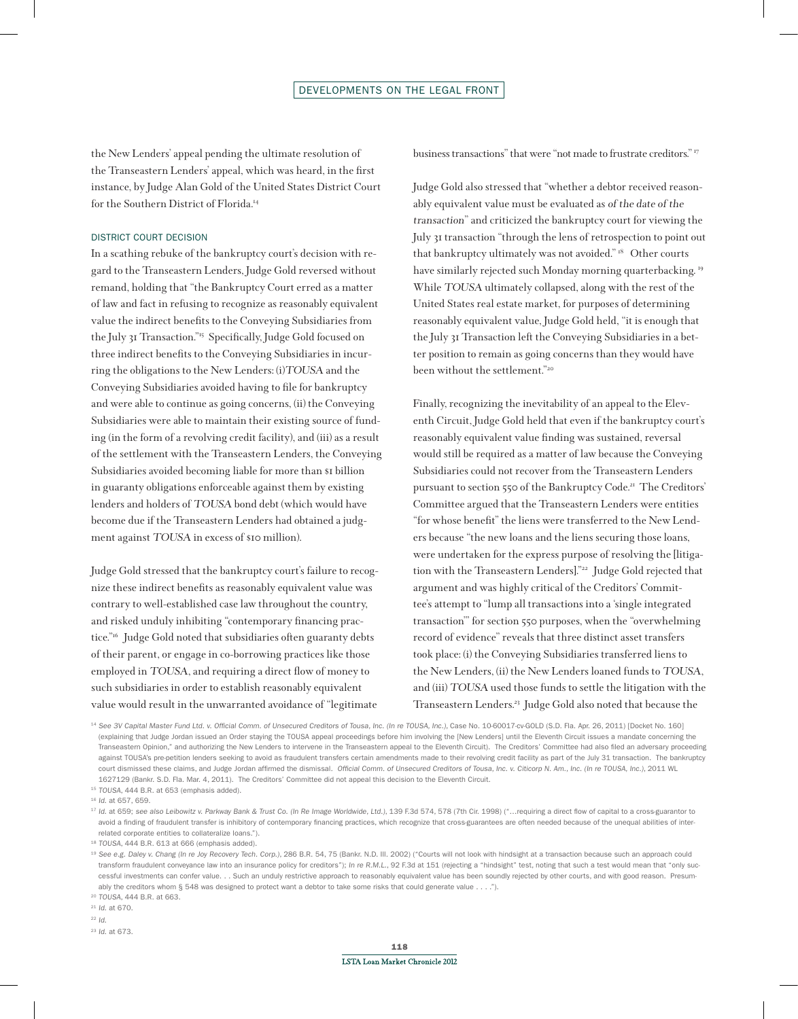the New Lenders' appeal pending the ultimate resolution of the Transeastern Lenders' appeal, which was heard, in the first instance, by Judge Alan Gold of the United States District Court for the Southern District of Florida.14

## District Court Decision

In a scathing rebuke of the bankruptcy court's decision with regard to the Transeastern Lenders, Judge Gold reversed without remand, holding that "the Bankruptcy Court erred as a matter of law and fact in refusing to recognize as reasonably equivalent value the indirect benefits to the Conveying Subsidiaries from the July 31 Transaction."15 Specifically, Judge Gold focused on three indirect benefits to the Conveying Subsidiaries in incurring the obligations to the New Lenders: (i)TOUSA and the Conveying Subsidiaries avoided having to file for bankruptcy and were able to continue as going concerns, (ii) the Conveying Subsidiaries were able to maintain their existing source of funding (in the form of a revolving credit facility), and (iii) as a result of the settlement with the Transeastern Lenders, the Conveying Subsidiaries avoided becoming liable for more than \$1 billion in guaranty obligations enforceable against them by existing lenders and holders of TOUSA bond debt (which would have become due if the Transeastern Lenders had obtained a judgment against TOUSA in excess of \$10 million).

Judge Gold stressed that the bankruptcy court's failure to recognize these indirect benefits as reasonably equivalent value was contrary to well-established case law throughout the country, and risked unduly inhibiting "contemporary financing practice."<sup>16</sup> Judge Gold noted that subsidiaries often guaranty debts of their parent, or engage in co-borrowing practices like those employed in TOUSA, and requiring a direct flow of money to such subsidiaries in order to establish reasonably equivalent value would result in the unwarranted avoidance of "legitimate business transactions" that were "not made to frustrate creditors." <sup>17</sup>

Judge Gold also stressed that "whether a debtor received reasonably equivalent value must be evaluated as of the date of the transaction" and criticized the bankruptcy court for viewing the July 31 transaction "through the lens of retrospection to point out that bankruptcy ultimately was not avoided." <sup>18</sup> Other courts have similarly rejected such Monday morning quarterbacking.<sup>19</sup> While TOUSA ultimately collapsed, along with the rest of the United States real estate market, for purposes of determining reasonably equivalent value, Judge Gold held, "it is enough that the July 31 Transaction left the Conveying Subsidiaries in a better position to remain as going concerns than they would have been without the settlement."20

Finally, recognizing the inevitability of an appeal to the Eleventh Circuit, Judge Gold held that even if the bankruptcy court's reasonably equivalent value finding was sustained, reversal would still be required as a matter of law because the Conveying Subsidiaries could not recover from the Transeastern Lenders pursuant to section 550 of the Bankruptcy Code.<sup>21</sup> The Creditors' Committee argued that the Transeastern Lenders were entities "for whose benefit" the liens were transferred to the New Lenders because "the new loans and the liens securing those loans, were undertaken for the express purpose of resolving the [litigation with the Transeastern Lenders]."22 Judge Gold rejected that argument and was highly critical of the Creditors' Committee's attempt to "lump all transactions into a 'single integrated transaction'" for section 550 purposes, when the "overwhelming record of evidence" reveals that three distinct asset transfers took place: (i) the Conveying Subsidiaries transferred liens to the New Lenders, (ii) the New Lenders loaned funds to TOUSA, and (iii) TOUSA used those funds to settle the litigation with the Transeastern Lenders.23 Judge Gold also noted that because the

<sup>16</sup> Id. at 657, 659.

<sup>20</sup> TOUSA, 444 B.R. at 663.

- <sup>21</sup> *Id.* at 670.
- <sup>22</sup> Id.
- <sup>23</sup> Id. at 673.

<sup>14</sup> See 3V Capital Master Fund Ltd. v. Official Comm. of Unsecured Creditors of Tousa, Inc. (In re TOUSA, Inc.), Case No. 10-60017-cv-GOLD (S.D. Fla. Apr. 26, 2011) [Docket No. 160] (explaining that Judge Jordan issued an Order staying the TOUSA appeal proceedings before him involving the [New Lenders] until the Eleventh Circuit issues a mandate concerning the Transeastern Opinion," and authorizing the New Lenders to intervene in the Transeastern appeal to the Eleventh Circuit). The Creditors' Committee had also filed an adversary proceeding against TOUSA's pre-petition lenders seeking to avoid as fraudulent transfers certain amendments made to their revolving credit facility as part of the July 31 transaction. The bankruptcy court dismissed these claims, and Judge Jordan affirmed the dismissal. Official Comm. of Unsecured Creditors of Tousa, Inc. v. Citicorp N. Am., Inc. (In re TOUSA, Inc.), 2011 WL 1627129 (Bankr. S.D. Fla. Mar. 4, 2011). The Creditors' Committee did not appeal this decision to the Eleventh Circuit. <sup>15</sup> TOUSA, 444 B.R. at 653 (emphasis added).

<sup>17</sup> Id. at 659; see also Leibowitz v. Parkway Bank & Trust Co. (In Re Image Worldwide, Ltd.), 139 F.3d 574, 578 (7th Cir. 1998) ("...requiring a direct flow of capital to a cross-guarantor to avoid a finding of fraudulent transfer is inhibitory of contemporary financing practices, which recognize that cross-guarantees are often needed because of the unequal abilities of interrelated corporate entities to collateralize loans.").

<sup>&</sup>lt;sup>18</sup> TOUSA, 444 B.R. 613 at 666 (emphasis added).

<sup>&</sup>lt;sup>19</sup> See e.g. Daley v. Chang (In re Joy Recovery Tech. Corp.), 286 B.R. 54, 75 (Bankr. N.D. III. 2002) ("Courts will not look with hindsight at a transaction because such an approach could transform fraudulent conveyance law into an insurance policy for creditors"); In re R.M.L., 92 F.3d at 151 (rejecting a "hindsight" test, noting that such a test would mean that "only successful investments can confer value. . . Such an unduly restrictive approach to reasonably equivalent value has been soundly rejected by other courts, and with good reason. Presumably the creditors whom § 548 was designed to protect want a debtor to take some risks that could generate value . . . .").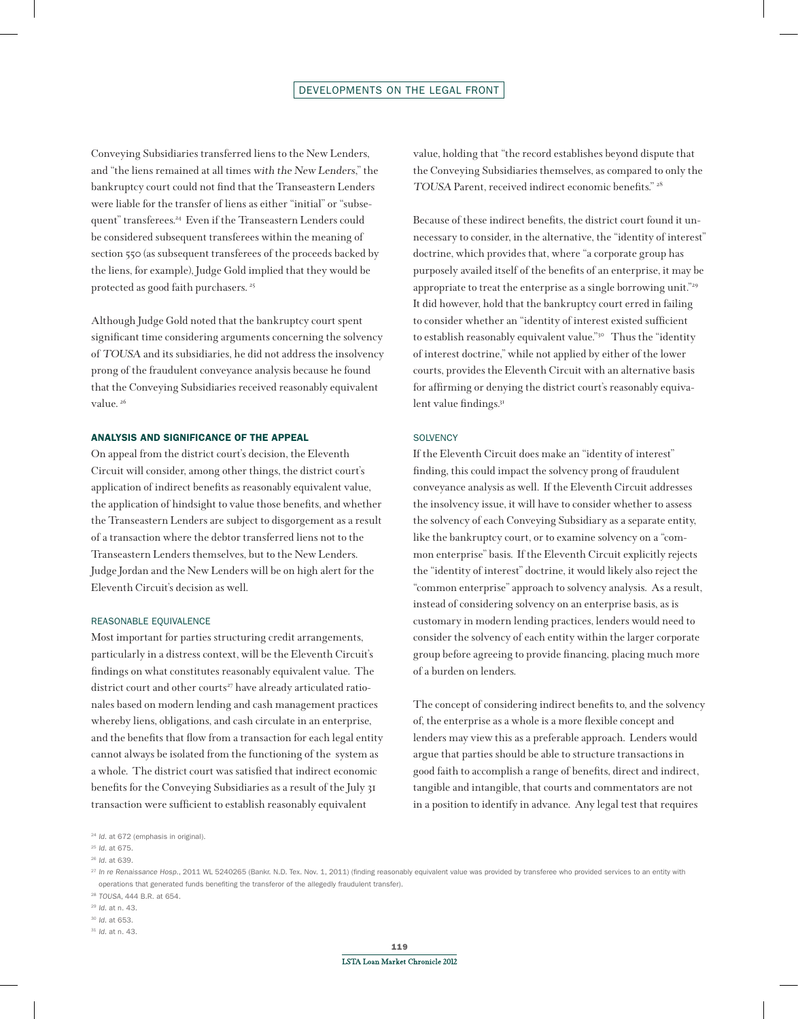Conveying Subsidiaries transferred liens to the New Lenders, and "the liens remained at all times with the New Lenders," the bankruptcy court could not find that the Transeastern Lenders were liable for the transfer of liens as either "initial" or "subsequent" transferees.<sup>24</sup> Even if the Transeastern Lenders could be considered subsequent transferees within the meaning of section 550 (as subsequent transferees of the proceeds backed by the liens, for example), Judge Gold implied that they would be protected as good faith purchasers. 25

Although Judge Gold noted that the bankruptcy court spent significant time considering arguments concerning the solvency of TOUSA and its subsidiaries, he did not address the insolvency prong of the fraudulent conveyance analysis because he found that the Conveying Subsidiaries received reasonably equivalent value.<sup>26</sup>

## Analysis and Significance of the Appeal

On appeal from the district court's decision, the Eleventh Circuit will consider, among other things, the district court's application of indirect benefits as reasonably equivalent value, the application of hindsight to value those benefits, and whether the Transeastern Lenders are subject to disgorgement as a result of a transaction where the debtor transferred liens not to the Transeastern Lenders themselves, but to the New Lenders. Judge Jordan and the New Lenders will be on high alert for the Eleventh Circuit's decision as well.

#### Reasonable Equivalence

Most important for parties structuring credit arrangements, particularly in a distress context, will be the Eleventh Circuit's findings on what constitutes reasonably equivalent value. The district court and other courts<sup>27</sup> have already articulated rationales based on modern lending and cash management practices whereby liens, obligations, and cash circulate in an enterprise, and the benefits that flow from a transaction for each legal entity cannot always be isolated from the functioning of the system as a whole. The district court was satisfied that indirect economic benefits for the Conveying Subsidiaries as a result of the July 31 transaction were sufficient to establish reasonably equivalent

value, holding that "the record establishes beyond dispute that the Conveying Subsidiaries themselves, as compared to only the TOUSA Parent, received indirect economic benefits." 28

Because of these indirect benefits, the district court found it unnecessary to consider, in the alternative, the "identity of interest" doctrine, which provides that, where "a corporate group has purposely availed itself of the benefits of an enterprise, it may be appropriate to treat the enterprise as a single borrowing unit."29 It did however, hold that the bankruptcy court erred in failing to consider whether an "identity of interest existed sufficient to establish reasonably equivalent value."30 Thus the "identity of interest doctrine," while not applied by either of the lower courts, provides the Eleventh Circuit with an alternative basis for affirming or denying the district court's reasonably equivalent value findings.<sup>31</sup>

## **SOLVENCY**

If the Eleventh Circuit does make an "identity of interest" finding, this could impact the solvency prong of fraudulent conveyance analysis as well. If the Eleventh Circuit addresses the insolvency issue, it will have to consider whether to assess the solvency of each Conveying Subsidiary as a separate entity, like the bankruptcy court, or to examine solvency on a "common enterprise" basis. If the Eleventh Circuit explicitly rejects the "identity of interest" doctrine, it would likely also reject the "common enterprise" approach to solvency analysis. As a result, instead of considering solvency on an enterprise basis, as is customary in modern lending practices, lenders would need to consider the solvency of each entity within the larger corporate group before agreeing to provide financing, placing much more of a burden on lenders.

The concept of considering indirect benefits to, and the solvency of, the enterprise as a whole is a more flexible concept and lenders may view this as a preferable approach. Lenders would argue that parties should be able to structure transactions in good faith to accomplish a range of benefits, direct and indirect, tangible and intangible, that courts and commentators are not in a position to identify in advance. Any legal test that requires

<sup>&</sup>lt;sup>24</sup> Id. at 672 (emphasis in original).

<sup>25</sup> Id. at 675.

<sup>26</sup> Id. at 639.

<sup>27</sup> In re Renaissance Hosp., 2011 WL 5240265 (Bankr. N.D. Tex. Nov. 1, 2011) (finding reasonably equivalent value was provided by transferee who provided services to an entity with operations that generated funds benefiting the transferor of the allegedly fraudulent transfer).

<sup>28</sup> TOUSA, 444 B.R. at 654.

<sup>29</sup> Id. at n. 43.

<sup>30</sup> Id. at 653.

<sup>31</sup> Id. at n. 43.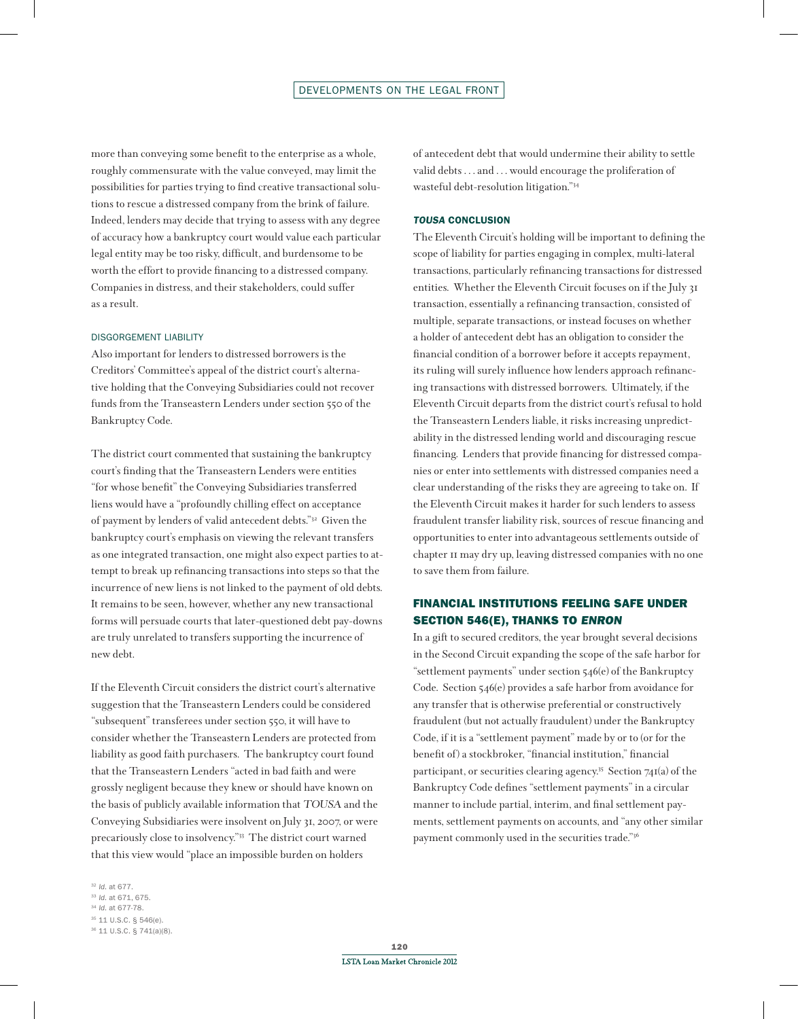more than conveying some benefit to the enterprise as a whole, roughly commensurate with the value conveyed, may limit the possibilities for parties trying to find creative transactional solutions to rescue a distressed company from the brink of failure. Indeed, lenders may decide that trying to assess with any degree of accuracy how a bankruptcy court would value each particular legal entity may be too risky, difficult, and burdensome to be worth the effort to provide financing to a distressed company. Companies in distress, and their stakeholders, could suffer as a result.

#### Disgorgement liability

Also important for lenders to distressed borrowers is the Creditors' Committee's appeal of the district court's alternative holding that the Conveying Subsidiaries could not recover funds from the Transeastern Lenders under section 550 of the Bankruptcy Code.

The district court commented that sustaining the bankruptcy court's finding that the Transeastern Lenders were entities "for whose benefit" the Conveying Subsidiaries transferred liens would have a "profoundly chilling effect on acceptance of payment by lenders of valid antecedent debts."32 Given the bankruptcy court's emphasis on viewing the relevant transfers as one integrated transaction, one might also expect parties to attempt to break up refinancing transactions into steps so that the incurrence of new liens is not linked to the payment of old debts. It remains to be seen, however, whether any new transactional forms will persuade courts that later-questioned debt pay-downs are truly unrelated to transfers supporting the incurrence of new debt.

If the Eleventh Circuit considers the district court's alternative suggestion that the Transeastern Lenders could be considered "subsequent" transferees under section 550, it will have to consider whether the Transeastern Lenders are protected from liability as good faith purchasers. The bankruptcy court found that the Transeastern Lenders "acted in bad faith and were grossly negligent because they knew or should have known on the basis of publicly available information that TOUSA and the Conveying Subsidiaries were insolvent on July 31, 2007, or were precariously close to insolvency."33 The district court warned that this view would "place an impossible burden on holders

of antecedent debt that would undermine their ability to settle valid debts . . . and . . . would encourage the proliferation of wasteful debt-resolution litigation."34

#### TOUSA Conclusion

The Eleventh Circuit's holding will be important to defining the scope of liability for parties engaging in complex, multi-lateral transactions, particularly refinancing transactions for distressed entities. Whether the Eleventh Circuit focuses on if the July 31 transaction, essentially a refinancing transaction, consisted of multiple, separate transactions, or instead focuses on whether a holder of antecedent debt has an obligation to consider the financial condition of a borrower before it accepts repayment, its ruling will surely influence how lenders approach refinancing transactions with distressed borrowers. Ultimately, if the Eleventh Circuit departs from the district court's refusal to hold the Transeastern Lenders liable, it risks increasing unpredictability in the distressed lending world and discouraging rescue financing. Lenders that provide financing for distressed companies or enter into settlements with distressed companies need a clear understanding of the risks they are agreeing to take on. If the Eleventh Circuit makes it harder for such lenders to assess fraudulent transfer liability risk, sources of rescue financing and opportunities to enter into advantageous settlements outside of chapter 11 may dry up, leaving distressed companies with no one to save them from failure.

# FINANCIAL INSTITUTIONS FEELING SAFE UNDER SECTION 546(E), THANKS TO ENRON

In a gift to secured creditors, the year brought several decisions in the Second Circuit expanding the scope of the safe harbor for "settlement payments" under section 546(e) of the Bankruptcy Code. Section 546(e) provides a safe harbor from avoidance for any transfer that is otherwise preferential or constructively fraudulent (but not actually fraudulent) under the Bankruptcy Code, if it is a "settlement payment" made by or to (or for the benefit of) a stockbroker, "financial institution," financial participant, or securities clearing agency.<sup>35</sup> Section 74I(a) of the Bankruptcy Code defines "settlement payments" in a circular manner to include partial, interim, and final settlement payments, settlement payments on accounts, and "any other similar payment commonly used in the securities trade."36

<sup>32</sup> Id. at 677. <sup>33</sup> Id. at 671, 675. <sup>34</sup> Id. at 677-78. 35 11 U.S.C. § 546(e).

<sup>36 11</sup> U.S.C. § 741(a)(8).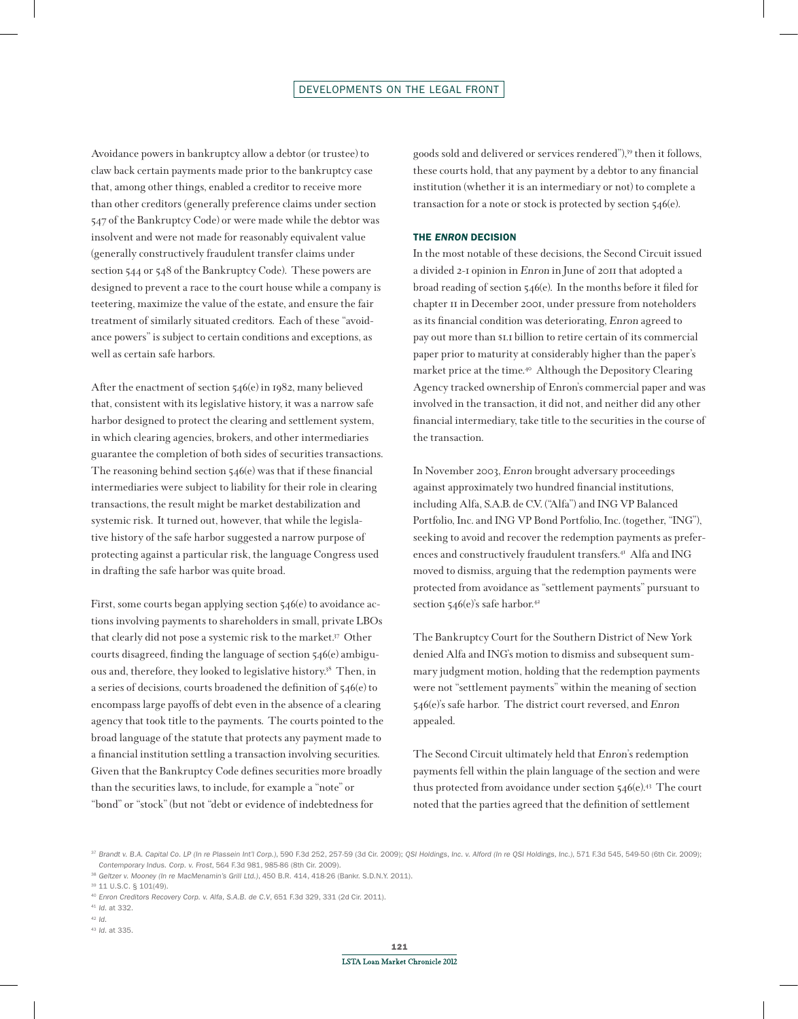Avoidance powers in bankruptcy allow a debtor (or trustee) to claw back certain payments made prior to the bankruptcy case that, among other things, enabled a creditor to receive more than other creditors (generally preference claims under section 547 of the Bankruptcy Code) or were made while the debtor was insolvent and were not made for reasonably equivalent value (generally constructively fraudulent transfer claims under section 544 or 548 of the Bankruptcy Code). These powers are designed to prevent a race to the court house while a company is teetering, maximize the value of the estate, and ensure the fair treatment of similarly situated creditors. Each of these "avoidance powers" is subject to certain conditions and exceptions, as well as certain safe harbors.

After the enactment of section 546(e) in 1982, many believed that, consistent with its legislative history, it was a narrow safe harbor designed to protect the clearing and settlement system, in which clearing agencies, brokers, and other intermediaries guarantee the completion of both sides of securities transactions. The reasoning behind section 546(e) was that if these financial intermediaries were subject to liability for their role in clearing transactions, the result might be market destabilization and systemic risk. It turned out, however, that while the legislative history of the safe harbor suggested a narrow purpose of protecting against a particular risk, the language Congress used in drafting the safe harbor was quite broad.

First, some courts began applying section 546(e) to avoidance actions involving payments to shareholders in small, private LBOs that clearly did not pose a systemic risk to the market.<sup>37</sup> Other courts disagreed, finding the language of section 546(e) ambiguous and, therefore, they looked to legislative history.38 Then, in a series of decisions, courts broadened the definition of 546(e) to encompass large payoffs of debt even in the absence of a clearing agency that took title to the payments. The courts pointed to the broad language of the statute that protects any payment made to a financial institution settling a transaction involving securities. Given that the Bankruptcy Code defines securities more broadly than the securities laws, to include, for example a "note" or "bond" or "stock" (but not "debt or evidence of indebtedness for

goods sold and delivered or services rendered"),39 then it follows, these courts hold, that any payment by a debtor to any financial institution (whether it is an intermediary or not) to complete a transaction for a note or stock is protected by section 546(e).

#### The Enron Decision

In the most notable of these decisions, the Second Circuit issued a divided 2-1 opinion in Enron in June of 2011 that adopted a broad reading of section 546(e). In the months before it filed for chapter 11 in December 2001, under pressure from noteholders as its financial condition was deteriorating, Enron agreed to pay out more than \$1.1 billion to retire certain of its commercial paper prior to maturity at considerably higher than the paper's market price at the time.40 Although the Depository Clearing Agency tracked ownership of Enron's commercial paper and was involved in the transaction, it did not, and neither did any other financial intermediary, take title to the securities in the course of the transaction.

In November 2003, Enron brought adversary proceedings against approximately two hundred financial institutions, including Alfa, S.A.B. de C.V. ("Alfa") and ING VP Balanced Portfolio, Inc. and ING VP Bond Portfolio, Inc. (together, "ING"), seeking to avoid and recover the redemption payments as preferences and constructively fraudulent transfers.<sup>41</sup> Alfa and ING moved to dismiss, arguing that the redemption payments were protected from avoidance as "settlement payments" pursuant to section  $546(e)$ 's safe harbor.<sup>42</sup>

The Bankruptcy Court for the Southern District of New York denied Alfa and ING's motion to dismiss and subsequent summary judgment motion, holding that the redemption payments were not "settlement payments" within the meaning of section 546(e)'s safe harbor. The district court reversed, and Enron appealed.

The Second Circuit ultimately held that Enron's redemption payments fell within the plain language of the section and were thus protected from avoidance under section 546(e).43 The court noted that the parties agreed that the definition of settlement

37 Brandt v. B.A. Capital Co. LP (In re Plassein Int'l Corp.), 590 F.3d 252, 257-59 (3d Cir. 2009); QSI Holdings, Inc. v. Alford (In re QSI Holdings, Inc.), 571 F.3d 545, 549-50 (6th Cir. 2009); Contemporary Indus. Corp. v. Frost, 564 F.3d 981, 985-86 (8th Cir. 2009).

- $42$  Id.
- <sup>43</sup> Id. at 335.

<sup>&</sup>lt;sup>38</sup> Geltzer v. Mooney (In re MacMenamin's Grill Ltd.), 450 B.R. 414, 418-26 (Bankr. S.D.N.Y. 2011).

<sup>39 11</sup> U.S.C. § 101(49).

<sup>40</sup> Enron Creditors Recovery Corp. v. Alfa, S.A.B. de C.V, 651 F.3d 329, 331 (2d Cir. 2011).

<sup>41</sup> Id. at 332.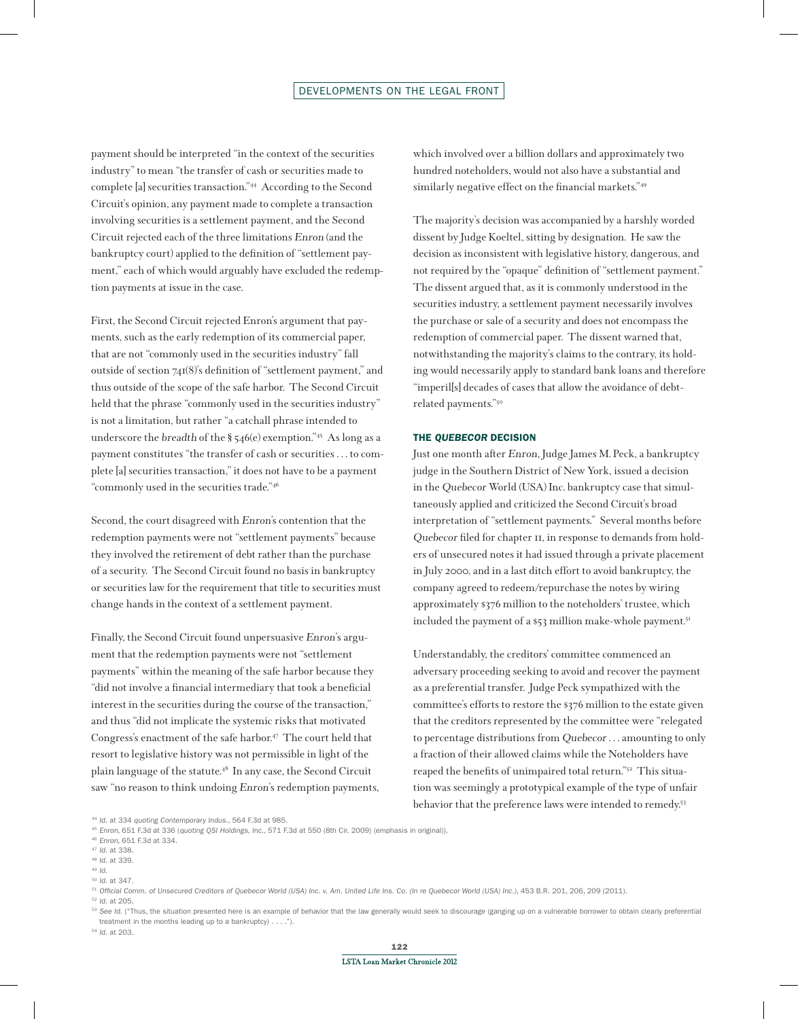payment should be interpreted "in the context of the securities industry" to mean "the transfer of cash or securities made to complete [a] securities transaction."44 According to the Second Circuit's opinion, any payment made to complete a transaction involving securities is a settlement payment, and the Second Circuit rejected each of the three limitations Enron (and the bankruptcy court) applied to the definition of "settlement payment," each of which would arguably have excluded the redemption payments at issue in the case.

First, the Second Circuit rejected Enron's argument that payments, such as the early redemption of its commercial paper, that are not "commonly used in the securities industry" fall outside of section 741(8)'s definition of "settlement payment," and thus outside of the scope of the safe harbor. The Second Circuit held that the phrase "commonly used in the securities industry" is not a limitation, but rather "a catchall phrase intended to underscore the breadth of the  $\S$  546(e) exemption."<sup>45</sup> As long as a payment constitutes "the transfer of cash or securities . . . to complete [a] securities transaction," it does not have to be a payment "commonly used in the securities trade."46

Second, the court disagreed with Enron's contention that the redemption payments were not "settlement payments" because they involved the retirement of debt rather than the purchase of a security. The Second Circuit found no basis in bankruptcy or securities law for the requirement that title to securities must change hands in the context of a settlement payment.

Finally, the Second Circuit found unpersuasive Enron's argument that the redemption payments were not "settlement payments" within the meaning of the safe harbor because they "did not involve a financial intermediary that took a beneficial interest in the securities during the course of the transaction," and thus "did not implicate the systemic risks that motivated Congress's enactment of the safe harbor.47 The court held that resort to legislative history was not permissible in light of the plain language of the statute.48 In any case, the Second Circuit saw "no reason to think undoing Enron's redemption payments, which involved over a billion dollars and approximately two hundred noteholders, would not also have a substantial and similarly negative effect on the financial markets."49

The majority's decision was accompanied by a harshly worded dissent by Judge Koeltel, sitting by designation. He saw the decision as inconsistent with legislative history, dangerous, and not required by the "opaque" definition of "settlement payment." The dissent argued that, as it is commonly understood in the securities industry, a settlement payment necessarily involves the purchase or sale of a security and does not encompass the redemption of commercial paper. The dissent warned that, notwithstanding the majority's claims to the contrary, its holding would necessarily apply to standard bank loans and therefore "imperil[s] decades of cases that allow the avoidance of debtrelated payments."50

## THE QUEBECOR DECISION

Just one month after Enron, Judge James M. Peck, a bankruptcy judge in the Southern District of New York, issued a decision in the Quebecor World (USA) Inc. bankruptcy case that simultaneously applied and criticized the Second Circuit's broad interpretation of "settlement payments." Several months before Quebecor filed for chapter 11, in response to demands from holders of unsecured notes it had issued through a private placement in July 2000, and in a last ditch effort to avoid bankruptcy, the company agreed to redeem/repurchase the notes by wiring approximately \$376 million to the noteholders' trustee, which included the payment of a \$53 million make-whole payment.<sup>51</sup>

Understandably, the creditors' committee commenced an adversary proceeding seeking to avoid and recover the payment as a preferential transfer. Judge Peck sympathized with the committee's efforts to restore the \$376 million to the estate given that the creditors represented by the committee were "relegated to percentage distributions from Quebecor . . . amounting to only a fraction of their allowed claims while the Noteholders have reaped the benefits of unimpaired total return."52 This situation was seemingly a prototypical example of the type of unfair behavior that the preference laws were intended to remedy.<sup>53</sup>

<sup>50</sup> Id. at 347.

<sup>54</sup> Id. at 203.

<sup>52</sup> Id. at 205.

<sup>44</sup> Id. at 334 quoting Contemporary Indus., 564 F.3d at 985.

<sup>45</sup> Enron, 651 F.3d at 336 (quoting QSI Holdings, Inc., 571 F.3d at 550 (8th Cir. 2009) (emphasis in original)).

<sup>46</sup> Enron, 651 F.3d at 334.

<sup>47</sup> Id. at 338.

<sup>48</sup> Id. at 339.

<sup>49</sup> Id.

<sup>51</sup> Official Comm. of Unsecured Creditors of Quebecor World (USA) Inc. v. Am. United Life Ins. Co. (In re Quebecor World (USA) Inc.), 453 B.R. 201, 206, 209 (2011).

<sup>&</sup>lt;sup>53</sup> See Id. ("Thus, the situation presented here is an example of behavior that the law generally would seek to discourage (ganging up on a vulnerable borrower to obtain clearly preferential treatment in the months leading up to a bankruptcy) . . . .").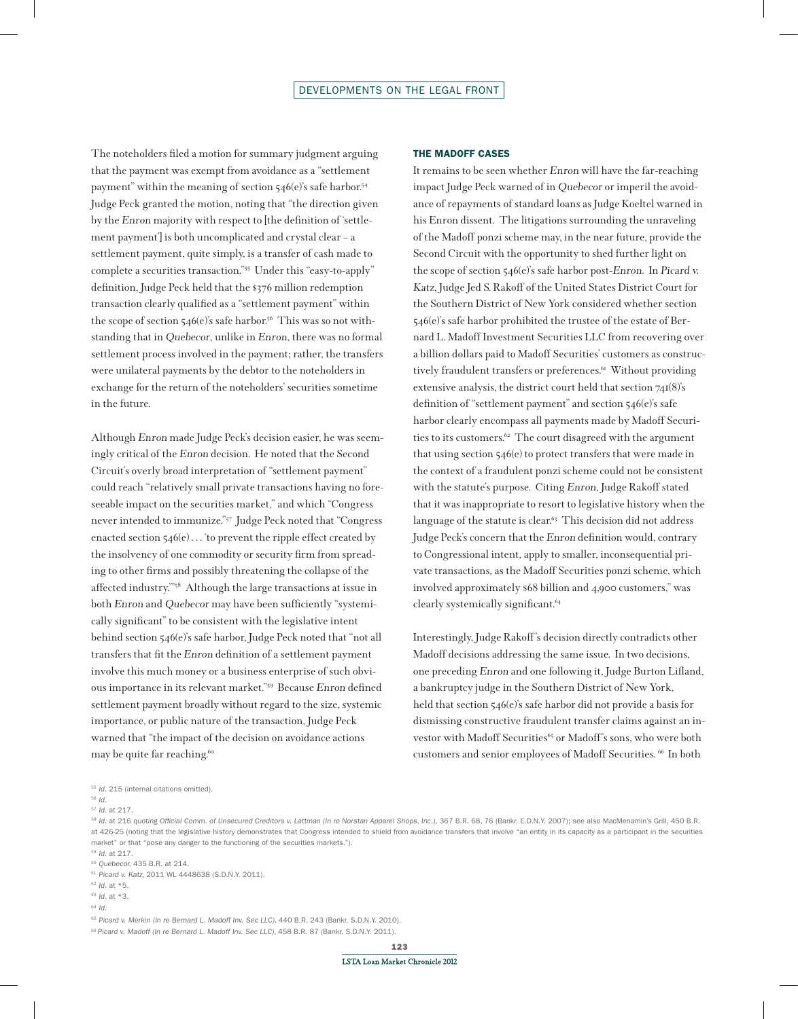The noteholders filed a motion for summary judgment arguing that the payment was exempt from avoidance as a "settlement payment" within the meaning of section  $546(e)$ 's safe harbor.<sup>54</sup> Judge Peck granted the motion, noting that "the direction given by the Enron majority with respect to [the definition of 'settlement payment'] is both uncomplicated and crystal clear – a settlement payment, quite simply, is a transfer of cash made to complete a securities transaction."55 Under this "easy-to-apply" definition, Judge Peck held that the \$376 million redemption transaction clearly qualified as a "settlement payment" within the scope of section  $546(e)$ 's safe harbor.<sup>56</sup> This was so not withstanding that in Quebecor, unlike in Enron, there was no formal settlement process involved in the payment; rather, the transfers were unilateral payments by the debtor to the noteholders in exchange for the return of the noteholders' securities sometime in the future.

Although Enron made Judge Peck's decision easier, he was seemingly critical of the Enron decision. He noted that the Second Circuit's overly broad interpretation of "settlement payment" could reach "relatively small private transactions having no foreseeable impact on the securities market," and which "Congress never intended to immunize."57 Judge Peck noted that "Congress enacted section  $546(e) \ldots$  'to prevent the ripple effect created by the insolvency of one commodity or security firm from spreading to other firms and possibly threatening the collapse of the affected industry.'"58 Although the large transactions at issue in both Enron and Quebecor may have been sufficiently "systemically significant" to be consistent with the legislative intent behind section 546(e)'s safe harbor, Judge Peck noted that "not all transfers that fit the Enron definition of a settlement payment involve this much money or a business enterprise of such obvious importance in its relevant market."59 Because Enron defined settlement payment broadly without regard to the size, systemic importance, or public nature of the transaction, Judge Peck warned that "the impact of the decision on avoidance actions may be quite far reaching.<sup>60</sup>

#### The Madoff Cases

It remains to be seen whether Enron will have the far-reaching impact Judge Peck warned of in Quebecor or imperil the avoidance of repayments of standard loans as Judge Koeltel warned in his Enron dissent. The litigations surrounding the unraveling of the Madoff ponzi scheme may, in the near future, provide the Second Circuit with the opportunity to shed further light on the scope of section 546(e)'s safe harbor post-Enron. In Picard v. Katz, Judge Jed S. Rakoff of the United States District Court for the Southern District of New York considered whether section 546(e)'s safe harbor prohibited the trustee of the estate of Bernard L. Madoff Investment Securities LLC from recovering over a billion dollars paid to Madoff Securities' customers as constructively fraudulent transfers or preferences.<sup>61</sup> Without providing extensive analysis, the district court held that section 741(8)'s definition of "settlement payment" and section 546(e)'s safe harbor clearly encompass all payments made by Madoff Securities to its customers.<sup>62</sup> The court disagreed with the argument that using section 546(e) to protect transfers that were made in the context of a fraudulent ponzi scheme could not be consistent with the statute's purpose. Citing Enron, Judge Rakoff stated that it was inappropriate to resort to legislative history when the language of the statute is clear.<sup>63</sup> This decision did not address Judge Peck's concern that the Enron definition would, contrary to Congressional intent, apply to smaller, inconsequential private transactions, as the Madoff Securities ponzi scheme, which involved approximately \$68 billion and 4,900 customers," was clearly systemically significant.64

Interestingly, Judge Rakoff 's decision directly contradicts other Madoff decisions addressing the same issue. In two decisions, one preceding Enron and one following it, Judge Burton Lifland, a bankruptcy judge in the Southern District of New York, held that section 546(e)'s safe harbor did not provide a basis for dismissing constructive fraudulent transfer claims against an investor with Madoff Securities<sup>65</sup> or Madoff's sons, who were both customers and senior employees of Madoff Securities. 66 In both

<sup>58</sup> Id. at 216 quoting Official Comm. of Unsecured Creditors v. Lattman (In re Norstan Apparel Shops, Inc.), 367 B.R. 68, 76 (Bankr. E.D.N.Y. 2007); see also MacMenamin's Grill, 450 B.R. at 426-25 (noting that the legislative history demonstrates that Congress intended to shield from avoidance transfers that involve "an entity in its capacity as a participant in the securities market" or that "pose any danger to the functioning of the securities markets.").

<sup>61</sup> Picard v. Katz, 2011 WL 4448638 (S.D.N.Y. 2011).

<sup>63</sup> Id. at \*3.

<sup>&</sup>lt;sup>55</sup> Id. 215 (internal citations omitted).

<sup>56</sup> Id.

<sup>57</sup> Id. at 217.

<sup>59</sup> Id. at 217.

<sup>60</sup> Quebecor, 435 B.R. at 214.

 $62$  *Id.* at  $*5$ .

<sup>64</sup> Id.

<sup>&</sup>lt;sup>65</sup> Picard v. Merkin (In re Bernard L. Madoff Inv. Sec LLC), 440 B.R. 243 (Bankr. S.D.N.Y. 2010).

<sup>66</sup> Picard v. Madoff (In re Bernard L. Madoff Inv. Sec LLC), 458 B.R. 87 (Bankr. S.D.N.Y. 2011).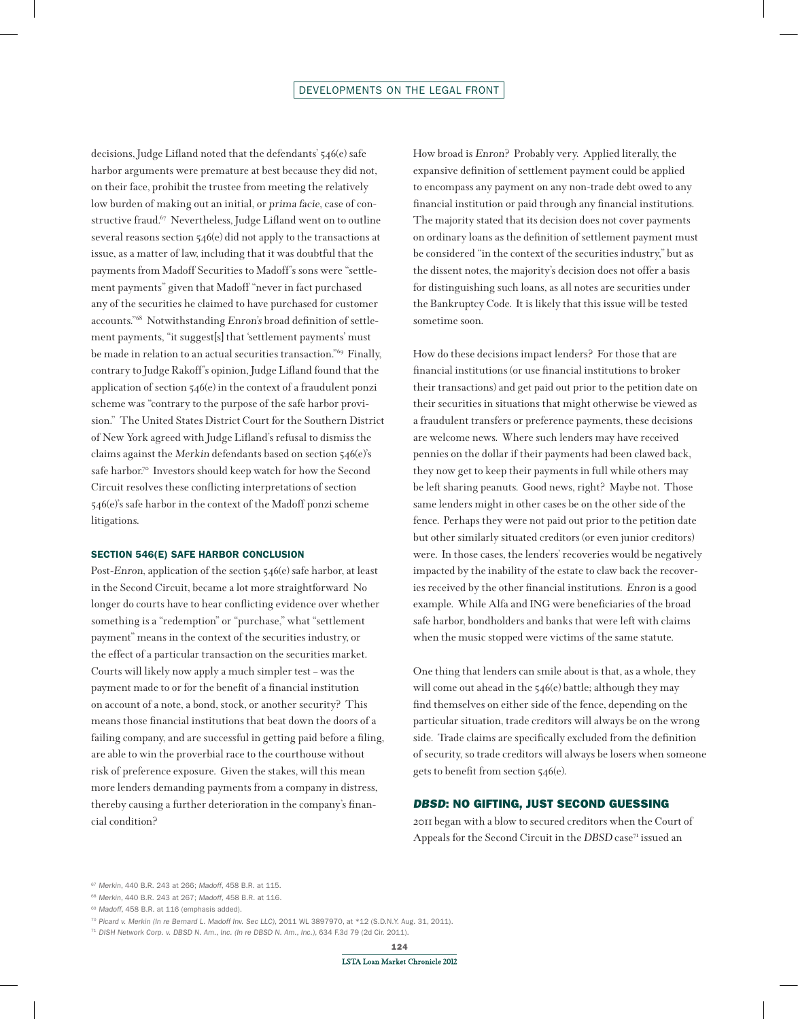decisions, Judge Lifland noted that the defendants' 546(e) safe harbor arguments were premature at best because they did not, on their face, prohibit the trustee from meeting the relatively low burden of making out an initial, or prima facie, case of constructive fraud.<sup>67</sup> Nevertheless, Judge Lifland went on to outline several reasons section 546(e) did not apply to the transactions at issue, as a matter of law, including that it was doubtful that the payments from Madoff Securities to Madoff 's sons were "settlement payments" given that Madoff "never in fact purchased any of the securities he claimed to have purchased for customer accounts."68 Notwithstanding Enron's broad definition of settlement payments, "it suggest[s] that 'settlement payments' must be made in relation to an actual securities transaction."69 Finally, contrary to Judge Rakoff 's opinion, Judge Lifland found that the application of section 546(e) in the context of a fraudulent ponzi scheme was "contrary to the purpose of the safe harbor provision." The United States District Court for the Southern District of New York agreed with Judge Lifland's refusal to dismiss the claims against the Merkin defendants based on section 546(e)'s safe harbor.<sup>70</sup> Investors should keep watch for how the Second Circuit resolves these conflicting interpretations of section 546(e)'s safe harbor in the context of the Madoff ponzi scheme litigations.

#### SECTION 546(E) SAFE HARBOR CONCLUSION

Post-Enron, application of the section 546(e) safe harbor, at least in the Second Circuit, became a lot more straightforward No longer do courts have to hear conflicting evidence over whether something is a "redemption" or "purchase," what "settlement payment" means in the context of the securities industry, or the effect of a particular transaction on the securities market. Courts will likely now apply a much simpler test – was the payment made to or for the benefit of a financial institution on account of a note, a bond, stock, or another security? This means those financial institutions that beat down the doors of a failing company, and are successful in getting paid before a filing, are able to win the proverbial race to the courthouse without risk of preference exposure. Given the stakes, will this mean more lenders demanding payments from a company in distress, thereby causing a further deterioration in the company's financial condition?

How broad is Enron? Probably very. Applied literally, the expansive definition of settlement payment could be applied to encompass any payment on any non-trade debt owed to any financial institution or paid through any financial institutions. The majority stated that its decision does not cover payments on ordinary loans as the definition of settlement payment must be considered "in the context of the securities industry," but as the dissent notes, the majority's decision does not offer a basis for distinguishing such loans, as all notes are securities under the Bankruptcy Code. It is likely that this issue will be tested sometime soon.

How do these decisions impact lenders? For those that are financial institutions (or use financial institutions to broker their transactions) and get paid out prior to the petition date on their securities in situations that might otherwise be viewed as a fraudulent transfers or preference payments, these decisions are welcome news. Where such lenders may have received pennies on the dollar if their payments had been clawed back, they now get to keep their payments in full while others may be left sharing peanuts. Good news, right? Maybe not. Those same lenders might in other cases be on the other side of the fence. Perhaps they were not paid out prior to the petition date but other similarly situated creditors (or even junior creditors) were. In those cases, the lenders' recoveries would be negatively impacted by the inability of the estate to claw back the recoveries received by the other financial institutions. Enron is a good example. While Alfa and ING were beneficiaries of the broad safe harbor, bondholders and banks that were left with claims when the music stopped were victims of the same statute.

One thing that lenders can smile about is that, as a whole, they will come out ahead in the 546(e) battle; although they may find themselves on either side of the fence, depending on the particular situation, trade creditors will always be on the wrong side. Trade claims are specifically excluded from the definition of security, so trade creditors will always be losers when someone gets to benefit from section 546(e).

## DBSD: NO GIFTING, JUST SECOND GUESSING

2011 began with a blow to secured creditors when the Court of Appeals for the Second Circuit in the DBSD case<sup>71</sup> issued an

<sup>67</sup> Merkin, 440 B.R. 243 at 266; Madoff, 458 B.R. at 115.

<sup>68</sup> Merkin, 440 B.R. 243 at 267; Madoff, 458 B.R. at 116.

<sup>&</sup>lt;sup>69</sup> Madoff, 458 B.R. at 116 (emphasis added).

<sup>70</sup> Picard v. Merkin (In re Bernard L. Madoff Inv. Sec LLC), 2011 WL 3897970, at \*12 (S.D.N.Y. Aug. 31, 2011).

<sup>71</sup> DISH Network Corp. v. DBSD N. Am., Inc. (In re DBSD N. Am., Inc.), 634 F.3d 79 (2d Cir. 2011).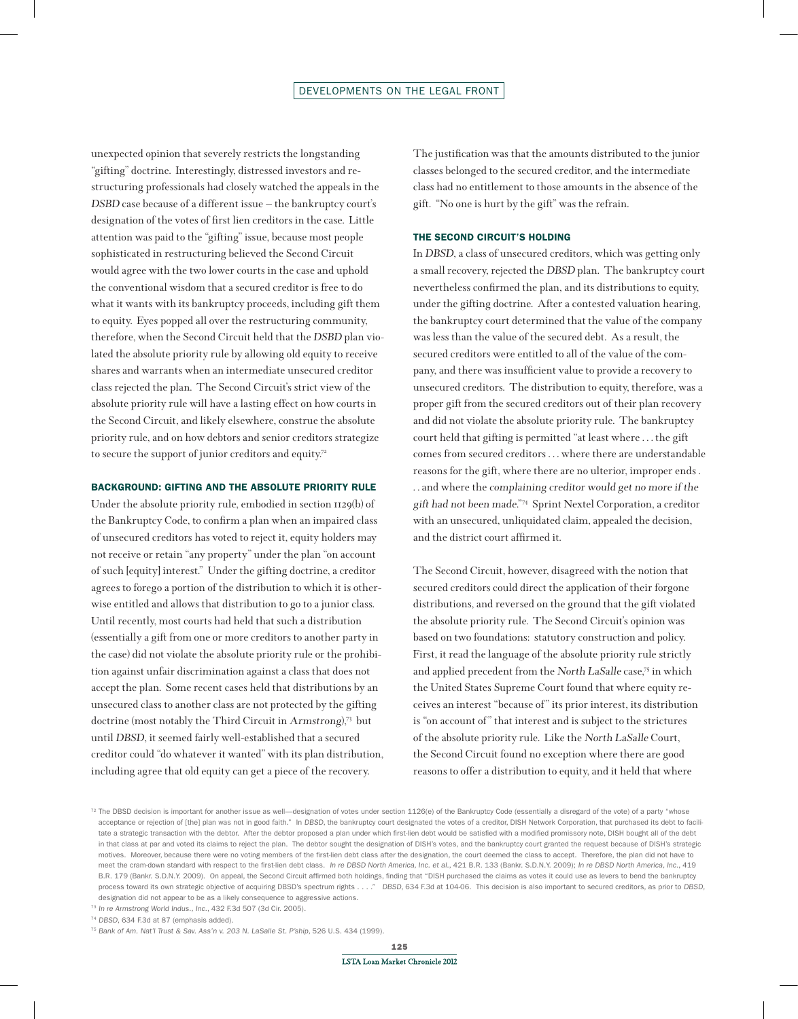unexpected opinion that severely restricts the longstanding "gifting" doctrine. Interestingly, distressed investors and restructuring professionals had closely watched the appeals in the DSBD case because of a different issue — the bankruptcy court's designation of the votes of first lien creditors in the case. Little attention was paid to the "gifting" issue, because most people sophisticated in restructuring believed the Second Circuit would agree with the two lower courts in the case and uphold the conventional wisdom that a secured creditor is free to do what it wants with its bankruptcy proceeds, including gift them to equity. Eyes popped all over the restructuring community, therefore, when the Second Circuit held that the DSBD plan violated the absolute priority rule by allowing old equity to receive shares and warrants when an intermediate unsecured creditor class rejected the plan. The Second Circuit's strict view of the absolute priority rule will have a lasting effect on how courts in the Second Circuit, and likely elsewhere, construe the absolute priority rule, and on how debtors and senior creditors strategize to secure the support of junior creditors and equity.<sup>72</sup>

## Background: Gifting and the Absolute Priority Rule

Under the absolute priority rule, embodied in section 1129(b) of the Bankruptcy Code, to confirm a plan when an impaired class of unsecured creditors has voted to reject it, equity holders may not receive or retain "any property" under the plan "on account of such [equity] interest." Under the gifting doctrine, a creditor agrees to forego a portion of the distribution to which it is otherwise entitled and allows that distribution to go to a junior class. Until recently, most courts had held that such a distribution (essentially a gift from one or more creditors to another party in the case) did not violate the absolute priority rule or the prohibition against unfair discrimination against a class that does not accept the plan. Some recent cases held that distributions by an unsecured class to another class are not protected by the gifting doctrine (most notably the Third Circuit in Armstrong),<sup>73</sup> but until DBSD, it seemed fairly well-established that a secured creditor could "do whatever it wanted" with its plan distribution, including agree that old equity can get a piece of the recovery.

The justification was that the amounts distributed to the junior classes belonged to the secured creditor, and the intermediate class had no entitlement to those amounts in the absence of the gift. "No one is hurt by the gift" was the refrain.

## THE SECOND CIRCUIT'S HOLDING

In DBSD, a class of unsecured creditors, which was getting only a small recovery, rejected the DBSD plan. The bankruptcy court nevertheless confirmed the plan, and its distributions to equity, under the gifting doctrine. After a contested valuation hearing, the bankruptcy court determined that the value of the company was less than the value of the secured debt. As a result, the secured creditors were entitled to all of the value of the company, and there was insufficient value to provide a recovery to unsecured creditors. The distribution to equity, therefore, was a proper gift from the secured creditors out of their plan recovery and did not violate the absolute priority rule. The bankruptcy court held that gifting is permitted "at least where . . . the gift comes from secured creditors . . . where there are understandable reasons for the gift, where there are no ulterior, improper ends . . . and where the complaining creditor would get no more if the <sup>g</sup>ift had not been made."74 Sprint Nextel Corporation, a creditor with an unsecured, unliquidated claim, appealed the decision, and the district court affirmed it.

The Second Circuit, however, disagreed with the notion that secured creditors could direct the application of their forgone distributions, and reversed on the ground that the gift violated the absolute priority rule. The Second Circuit's opinion was based on two foundations: statutory construction and policy. First, it read the language of the absolute priority rule strictly and applied precedent from the North LaSalle case,<sup>75</sup> in which the United States Supreme Court found that where equity receives an interest "because of " its prior interest, its distribution is "on account of" that interest and is subject to the strictures of the absolute priority rule. Like the North LaSalle Court, the Second Circuit found no exception where there are good reasons to offer a distribution to equity, and it held that where

<sup>72</sup> The DBSD decision is important for another issue as well—designation of votes under section 1126(e) of the Bankruptcy Code (essentially a disregard of the vote) of a party "whose acceptance or rejection of [the] plan was not in good faith." In DBSD, the bankruptcy court designated the votes of a creditor, DISH Network Corporation, that purchased its debt to facilitate a strategic transaction with the debtor. After the debtor proposed a plan under which first-lien debt would be satisfied with a modified promissory note. DISH bought all of the debt in that class at par and voted its claims to reject the plan. The debtor sought the designation of DISH's votes, and the bankruptcy court granted the request because of DISH's strategic motives. Moreover, because there were no voting members of the first-lien debt class after the designation, the court deemed the class to accept. Therefore, the plan did not have to meet the cram-down standard with respect to the first-lien debt class. In re DBSD North America, Inc. et al., 421 B.R. 133 (Bankr. S.D.N.Y. 2009); In re DBSD North America, Inc., 419 B.R. 179 (Bankr. S.D.N.Y. 2009). On appeal, the Second Circuit affirmed both holdings, finding that "DISH purchased the claims as votes it could use as levers to bend the bankruptcy process toward its own strategic objective of acquiring DBSD's spectrum rights . . . ." DBSD, 634 F.3d at 104-06. This decision is also important to secured creditors, as prior to DBSD, designation did not appear to be as a likely consequence to aggressive actions.

<sup>73</sup> In re Armstrong World Indus., Inc., 432 F.3d 507 (3d Cir. 2005).

<sup>74</sup> DBSD, 634 F.3d at 87 (emphasis added).

<sup>75</sup> Bank of Am. Nat'l Trust & Sav. Ass'n v. 203 N. LaSalle St. P'ship, 526 U.S. 434 (1999).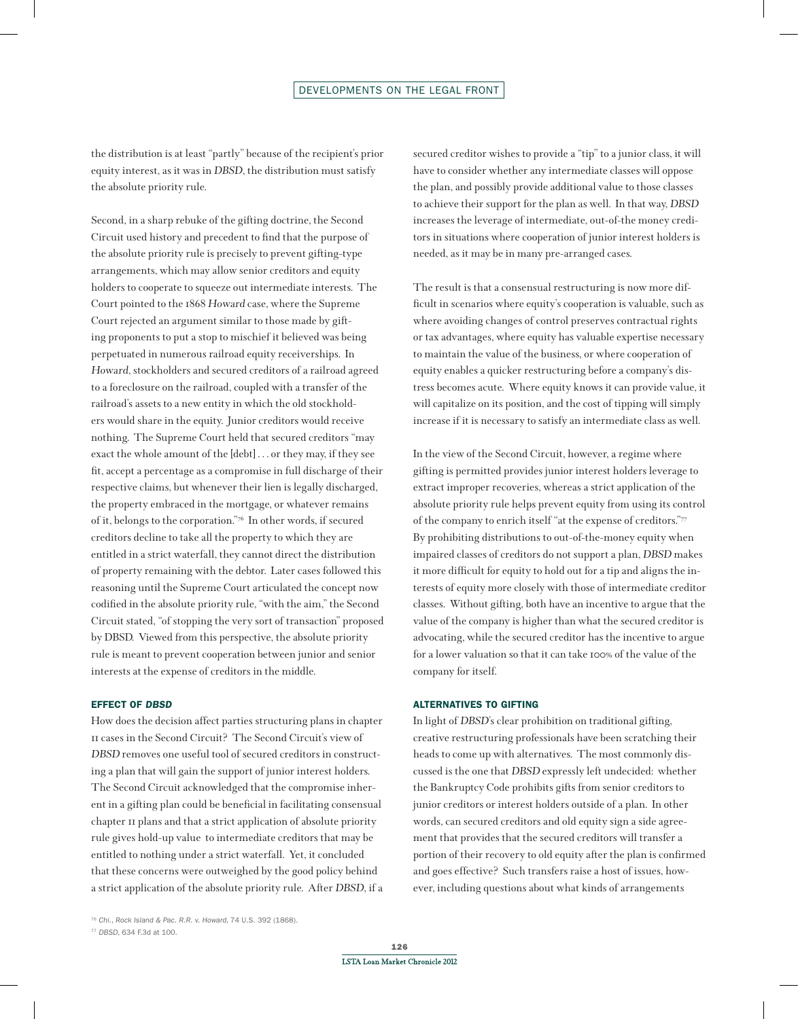the distribution is at least "partly" because of the recipient's prior equity interest, as it was in DBSD, the distribution must satisfy the absolute priority rule.

Second, in a sharp rebuke of the gifting doctrine, the Second Circuit used history and precedent to find that the purpose of the absolute priority rule is precisely to prevent gifting-type arrangements, which may allow senior creditors and equity holders to cooperate to squeeze out intermediate interests. The Court pointed to the 1868 Howard case, where the Supreme Court rejected an argument similar to those made by gifting proponents to put a stop to mischief it believed was being perpetuated in numerous railroad equity receiverships. In Howard, stockholders and secured creditors of a railroad agreed to a foreclosure on the railroad, coupled with a transfer of the railroad's assets to a new entity in which the old stockholders would share in the equity. Junior creditors would receive nothing. The Supreme Court held that secured creditors "may exact the whole amount of the [debt] . . . or they may, if they see fit, accept a percentage as a compromise in full discharge of their respective claims, but whenever their lien is legally discharged, the property embraced in the mortgage, or whatever remains of it, belongs to the corporation."76 In other words, if secured creditors decline to take all the property to which they are entitled in a strict waterfall, they cannot direct the distribution of property remaining with the debtor. Later cases followed this reasoning until the Supreme Court articulated the concept now codified in the absolute priority rule, "with the aim," the Second Circuit stated, "of stopping the very sort of transaction" proposed by DBSD. Viewed from this perspective, the absolute priority rule is meant to prevent cooperation between junior and senior interests at the expense of creditors in the middle.

#### Effect of DBSD

How does the decision affect parties structuring plans in chapter 11 cases in the Second Circuit? The Second Circuit's view of DBSD removes one useful tool of secured creditors in constructing a plan that will gain the support of junior interest holders. The Second Circuit acknowledged that the compromise inherent in a gifting plan could be beneficial in facilitating consensual chapter 11 plans and that a strict application of absolute priority rule gives hold-up value to intermediate creditors that may be entitled to nothing under a strict waterfall. Yet, it concluded that these concerns were outweighed by the good policy behind a strict application of the absolute priority rule. After DBSD, if a secured creditor wishes to provide a "tip" to a junior class, it will have to consider whether any intermediate classes will oppose the plan, and possibly provide additional value to those classes to achieve their support for the plan as well. In that way, DBSD increases the leverage of intermediate, out-of-the money creditors in situations where cooperation of junior interest holders is needed, as it may be in many pre-arranged cases.

The result is that a consensual restructuring is now more difficult in scenarios where equity's cooperation is valuable, such as where avoiding changes of control preserves contractual rights or tax advantages, where equity has valuable expertise necessary to maintain the value of the business, or where cooperation of equity enables a quicker restructuring before a company's distress becomes acute. Where equity knows it can provide value, it will capitalize on its position, and the cost of tipping will simply increase if it is necessary to satisfy an intermediate class as well.

In the view of the Second Circuit, however, a regime where gifting is permitted provides junior interest holders leverage to extract improper recoveries, whereas a strict application of the absolute priority rule helps prevent equity from using its control of the company to enrich itself "at the expense of creditors."77 By prohibiting distributions to out-of-the-money equity when impaired classes of creditors do not support a plan, DBSD makes it more difficult for equity to hold out for a tip and aligns the interests of equity more closely with those of intermediate creditor classes. Without gifting, both have an incentive to argue that the value of the company is higher than what the secured creditor is advocating, while the secured creditor has the incentive to argue for a lower valuation so that it can take 100% of the value of the company for itself.

## Alternatives to Gifting

In light of DBSD's clear prohibition on traditional gifting, creative restructuring professionals have been scratching their heads to come up with alternatives. The most commonly discussed is the one that DBSD expressly left undecided: whether the Bankruptcy Code prohibits gifts from senior creditors to junior creditors or interest holders outside of a plan. In other words, can secured creditors and old equity sign a side agreement that provides that the secured creditors will transfer a portion of their recovery to old equity after the plan is confirmed and goes effective? Such transfers raise a host of issues, however, including questions about what kinds of arrangements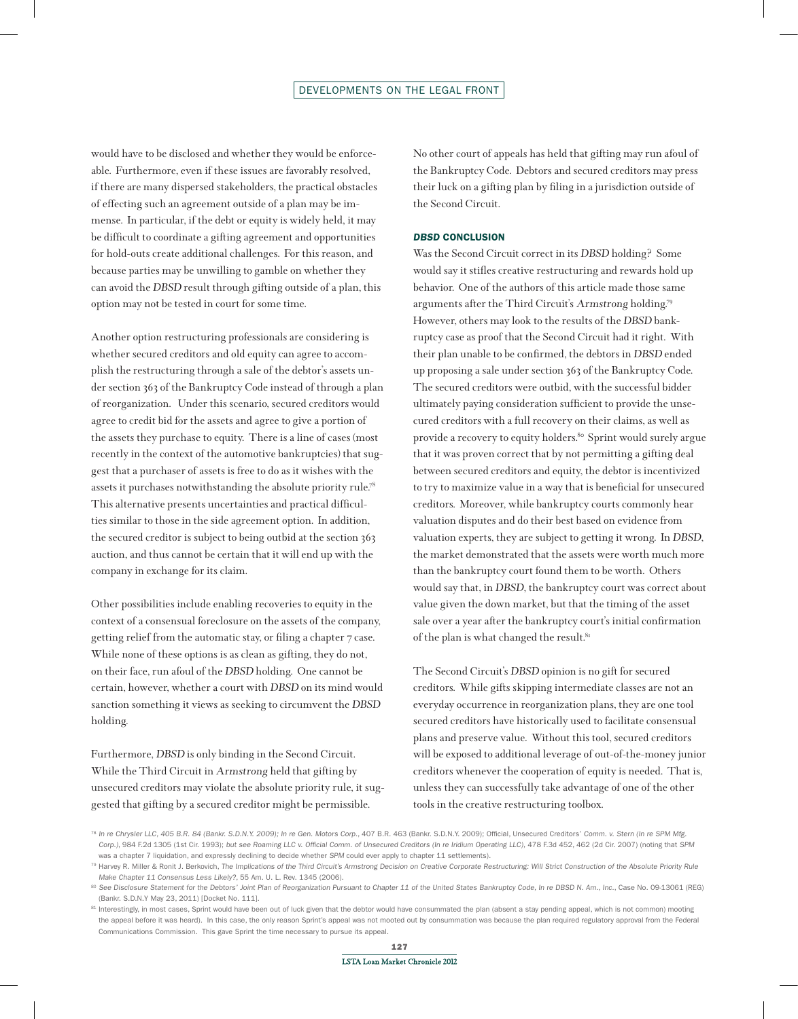would have to be disclosed and whether they would be enforceable. Furthermore, even if these issues are favorably resolved, if there are many dispersed stakeholders, the practical obstacles of effecting such an agreement outside of a plan may be immense. In particular, if the debt or equity is widely held, it may be difficult to coordinate a gifting agreement and opportunities for hold-outs create additional challenges. For this reason, and because parties may be unwilling to gamble on whether they can avoid the DBSD result through gifting outside of a plan, this option may not be tested in court for some time.

Another option restructuring professionals are considering is whether secured creditors and old equity can agree to accomplish the restructuring through a sale of the debtor's assets under section 363 of the Bankruptcy Code instead of through a plan of reorganization. Under this scenario, secured creditors would agree to credit bid for the assets and agree to give a portion of the assets they purchase to equity. There is a line of cases (most recently in the context of the automotive bankruptcies) that suggest that a purchaser of assets is free to do as it wishes with the assets it purchases notwithstanding the absolute priority rule.78 This alternative presents uncertainties and practical difficulties similar to those in the side agreement option. In addition, the secured creditor is subject to being outbid at the section 363 auction, and thus cannot be certain that it will end up with the company in exchange for its claim.

Other possibilities include enabling recoveries to equity in the context of a consensual foreclosure on the assets of the company, getting relief from the automatic stay, or filing a chapter 7 case. While none of these options is as clean as gifting, they do not, on their face, run afoul of the DBSD holding. One cannot be certain, however, whether a court with DBSD on its mind would sanction something it views as seeking to circumvent the DBSD holding.

Furthermore, DBSD is only binding in the Second Circuit. While the Third Circuit in Armstrong held that gifting by unsecured creditors may violate the absolute priority rule, it suggested that gifting by a secured creditor might be permissible.

No other court of appeals has held that gifting may run afoul of the Bankruptcy Code. Debtors and secured creditors may press their luck on a gifting plan by filing in a jurisdiction outside of the Second Circuit.

### DBSD Conclusion

Was the Second Circuit correct in its DBSD holding? Some would say it stifles creative restructuring and rewards hold up behavior. One of the authors of this article made those same arguments after the Third Circuit's Armstrong holding.79 However, others may look to the results of the DBSD bankruptcy case as proof that the Second Circuit had it right. With their plan unable to be confirmed, the debtors in DBSD ended up proposing a sale under section 363 of the Bankruptcy Code. The secured creditors were outbid, with the successful bidder ultimately paying consideration sufficient to provide the unsecured creditors with a full recovery on their claims, as well as provide a recovery to equity holders.<sup>80</sup> Sprint would surely argue that it was proven correct that by not permitting a gifting deal between secured creditors and equity, the debtor is incentivized to try to maximize value in a way that is beneficial for unsecured creditors. Moreover, while bankruptcy courts commonly hear valuation disputes and do their best based on evidence from valuation experts, they are subject to getting it wrong. In DBSD, the market demonstrated that the assets were worth much more than the bankruptcy court found them to be worth. Others would say that, in DBSD, the bankruptcy court was correct about value given the down market, but that the timing of the asset sale over a year after the bankruptcy court's initial confirmation of the plan is what changed the result.<sup>81</sup>

The Second Circuit's DBSD opinion is no gift for secured creditors. While gifts skipping intermediate classes are not an everyday occurrence in reorganization plans, they are one tool secured creditors have historically used to facilitate consensual plans and preserve value. Without this tool, secured creditors will be exposed to additional leverage of out-of-the-money junior creditors whenever the cooperation of equity is needed. That is, unless they can successfully take advantage of one of the other tools in the creative restructuring toolbox.

<sup>78</sup> In re Chrysler LLC, 405 B.R. 84 (Bankr. S.D.N.Y. 2009); In re Gen. Motors Corp., 407 B.R. 463 (Bankr. S.D.N.Y. 2009); Official, Unsecured Creditors' Comm. v. Stern (In re SPM Mfg. Corp.), 984 F.2d 1305 (1st Cir. 1993); but see Roaming LLC v. Official Comm. of Unsecured Creditors (In re Iridium Operating LLC), 478 F.3d 452, 462 (2d Cir. 2007) (noting that SPM was a chapter 7 liquidation, and expressly declining to decide whether SPM could ever apply to chapter 11 settlements).

<sup>79</sup> Harvey R. Miller & Ronit J. Berkovich, The Implications of the Third Circuit's Armstrong Decision on Creative Corporate Restructuring: Will Strict Construction of the Absolute Priority Rule Make Chapter 11 Consensus Less Likely?, 55 Am. U. L. Rev. 1345 (2006).

<sup>80</sup> See Disclosure Statement for the Debtors' Joint Plan of Reorganization Pursuant to Chapter 11 of the United States Bankruptcy Code, In re DBSD N. Am., Inc., Case No. 09-13061 (REG) (Bankr. S.D.N.Y May 23, 2011) [Docket No. 111].

<sup>81</sup> Interestingly, in most cases, Sprint would have been out of luck given that the debtor would have consummated the plan (absent a stay pending appeal, which is not common) mooting the appeal before it was heard). In this case, the only reason Sprint's appeal was not mooted out by consummation was because the plan required regulatory approval from the Federal Communications Commission. This gave Sprint the time necessary to pursue its appeal.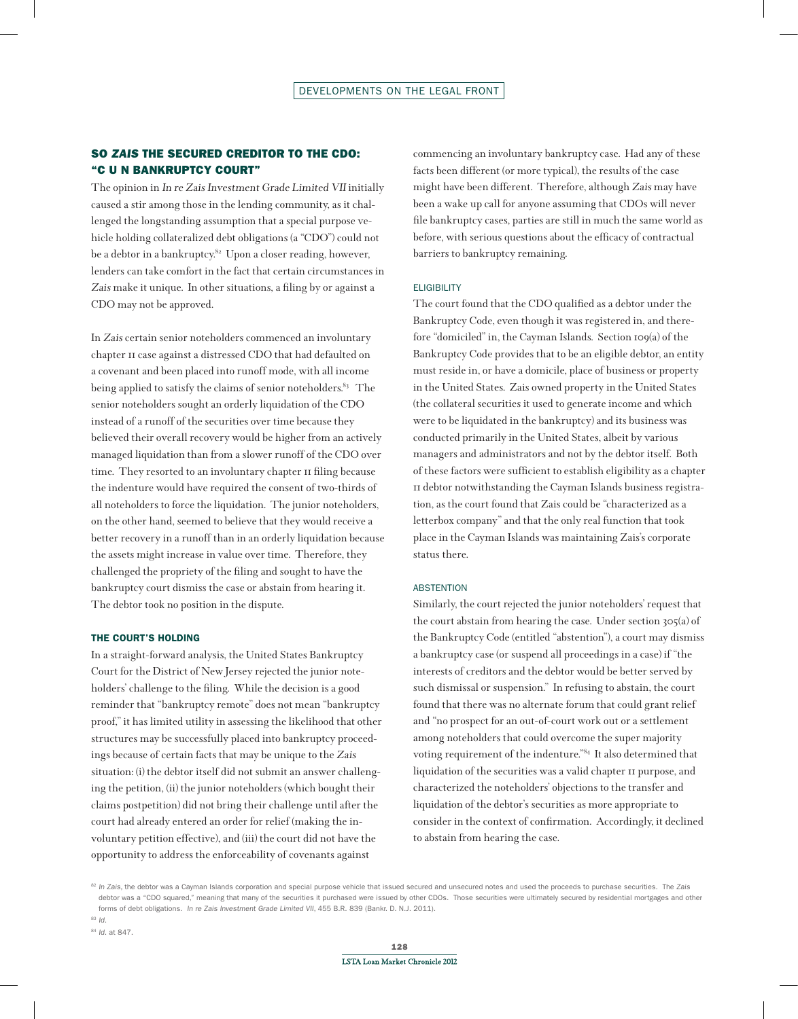# SO ZAIS THE SECURED CREDITOR TO THE CDO: "C U N BANKRUPTCY COURT"

The opinion in In re Zais Investment Grade Limited VII initially caused a stir among those in the lending community, as it challenged the longstanding assumption that a special purpose vehicle holding collateralized debt obligations (a "CDO") could not be a debtor in a bankruptcy.<sup>82</sup> Upon a closer reading, however, lenders can take comfort in the fact that certain circumstances in Zais make it unique. In other situations, a filing by or against a CDO may not be approved.

In Zais certain senior noteholders commenced an involuntary chapter 11 case against a distressed CDO that had defaulted on a covenant and been placed into runoff mode, with all income being applied to satisfy the claims of senior noteholders.<sup>83</sup> The senior noteholders sought an orderly liquidation of the CDO instead of a runoff of the securities over time because they believed their overall recovery would be higher from an actively managed liquidation than from a slower runoff of the CDO over time. They resorted to an involuntary chapter 11 filing because the indenture would have required the consent of two-thirds of all noteholders to force the liquidation. The junior noteholders, on the other hand, seemed to believe that they would receive a better recovery in a runoff than in an orderly liquidation because the assets might increase in value over time. Therefore, they challenged the propriety of the filing and sought to have the bankruptcy court dismiss the case or abstain from hearing it. The debtor took no position in the dispute.

#### The Court's Holding

In a straight-forward analysis, the United States Bankruptcy Court for the District of New Jersey rejected the junior noteholders' challenge to the filing. While the decision is a good reminder that "bankruptcy remote" does not mean "bankruptcy proof," it has limited utility in assessing the likelihood that other structures may be successfully placed into bankruptcy proceedings because of certain facts that may be unique to the Zais situation: (i) the debtor itself did not submit an answer challenging the petition, (ii) the junior noteholders (which bought their claims postpetition) did not bring their challenge until after the court had already entered an order for relief (making the involuntary petition effective), and (iii) the court did not have the opportunity to address the enforceability of covenants against

commencing an involuntary bankruptcy case. Had any of these facts been different (or more typical), the results of the case might have been different. Therefore, although Zais may have been a wake up call for anyone assuming that CDOs will never file bankruptcy cases, parties are still in much the same world as before, with serious questions about the efficacy of contractual barriers to bankruptcy remaining.

#### **ELIGIBILITY**

The court found that the CDO qualified as a debtor under the Bankruptcy Code, even though it was registered in, and therefore "domiciled" in, the Cayman Islands. Section 109(a) of the Bankruptcy Code provides that to be an eligible debtor, an entity must reside in, or have a domicile, place of business or property in the United States. Zais owned property in the United States (the collateral securities it used to generate income and which were to be liquidated in the bankruptcy) and its business was conducted primarily in the United States, albeit by various managers and administrators and not by the debtor itself. Both of these factors were sufficient to establish eligibility as a chapter 11 debtor notwithstanding the Cayman Islands business registration, as the court found that Zais could be "characterized as a letterbox company" and that the only real function that took place in the Cayman Islands was maintaining Zais's corporate status there.

## **ABSTENTION**

Similarly, the court rejected the junior noteholders' request that the court abstain from hearing the case. Under section 305(a) of the Bankruptcy Code (entitled "abstention"), a court may dismiss a bankruptcy case (or suspend all proceedings in a case) if "the interests of creditors and the debtor would be better served by such dismissal or suspension." In refusing to abstain, the court found that there was no alternate forum that could grant relief and "no prospect for an out-of-court work out or a settlement among noteholders that could overcome the super majority voting requirement of the indenture."84 It also determined that liquidation of the securities was a valid chapter 11 purpose, and characterized the noteholders' objections to the transfer and liquidation of the debtor's securities as more appropriate to consider in the context of confirmation. Accordingly, it declined to abstain from hearing the case.

<sup>83</sup> Id.

<sup>82</sup> In Zais, the debtor was a Cayman Islands corporation and special purpose vehicle that issued secured and unsecured notes and used the proceeds to purchase securities. The Zais debtor was a "CDO squared," meaning that many of the securities it purchased were issued by other CDOs. Those securities were ultimately secured by residential mortgages and other forms of debt obligations. In re Zais Investment Grade Limited VII, 455 B.R. 839 (Bankr. D. N.J. 2011).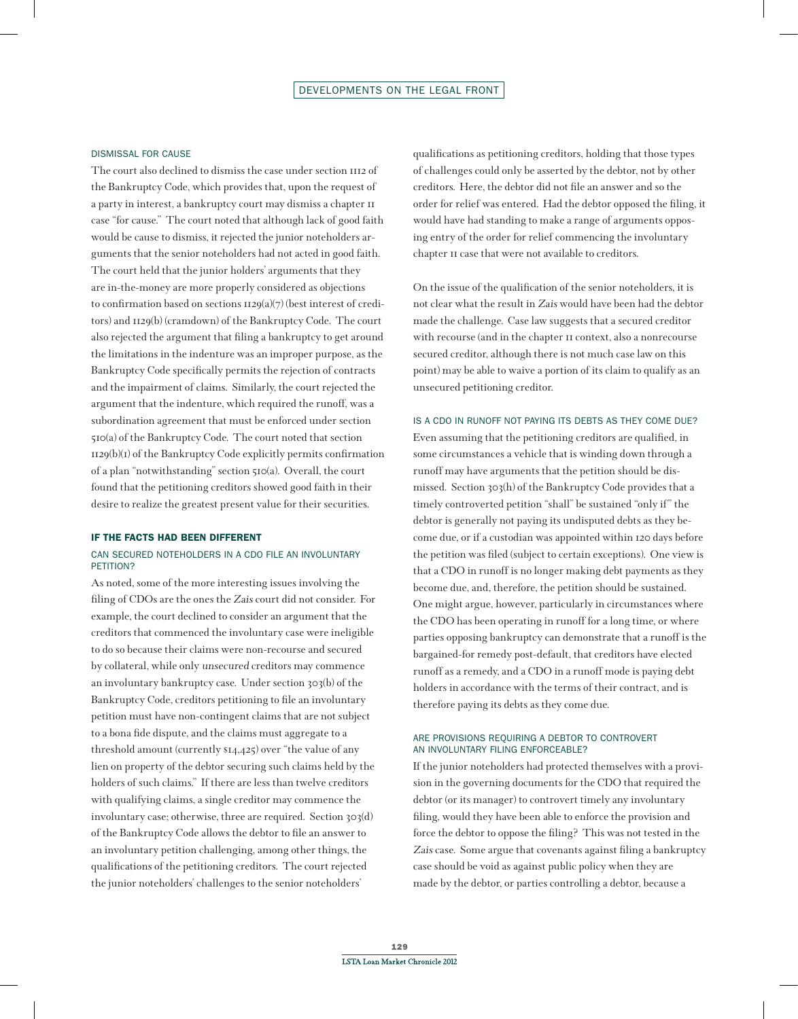#### Dismissal for Cause

The court also declined to dismiss the case under section 1112 of the Bankruptcy Code, which provides that, upon the request of a party in interest, a bankruptcy court may dismiss a chapter 11 case "for cause." The court noted that although lack of good faith would be cause to dismiss, it rejected the junior noteholders arguments that the senior noteholders had not acted in good faith. The court held that the junior holders' arguments that they are in-the-money are more properly considered as objections to confirmation based on sections  $II29(a)(7)$  (best interest of creditors) and 1129(b) (cramdown) of the Bankruptcy Code. The court also rejected the argument that filing a bankruptcy to get around the limitations in the indenture was an improper purpose, as the Bankruptcy Code specifically permits the rejection of contracts and the impairment of claims. Similarly, the court rejected the argument that the indenture, which required the runoff, was a subordination agreement that must be enforced under section 510(a) of the Bankruptcy Code. The court noted that section 1129(b)(1) of the Bankruptcy Code explicitly permits confirmation of a plan "notwithstanding" section 510(a). Overall, the court found that the petitioning creditors showed good faith in their desire to realize the greatest present value for their securities.

#### If the Facts had Been Different

## Can Secured Noteholders in a CDO File an Involuntary PETITION?

As noted, some of the more interesting issues involving the filing of CDOs are the ones the Zais court did not consider. For example, the court declined to consider an argument that the creditors that commenced the involuntary case were ineligible to do so because their claims were non-recourse and secured by collateral, while only unsecured creditors may commence an involuntary bankruptcy case. Under section 303(b) of the Bankruptcy Code, creditors petitioning to file an involuntary petition must have non-contingent claims that are not subject to a bona fide dispute, and the claims must aggregate to a threshold amount (currently \$14,425) over "the value of any lien on property of the debtor securing such claims held by the holders of such claims." If there are less than twelve creditors with qualifying claims, a single creditor may commence the involuntary case; otherwise, three are required. Section 303(d) of the Bankruptcy Code allows the debtor to file an answer to an involuntary petition challenging, among other things, the qualifications of the petitioning creditors. The court rejected the junior noteholders' challenges to the senior noteholders'

qualifications as petitioning creditors, holding that those types of challenges could only be asserted by the debtor, not by other creditors. Here, the debtor did not file an answer and so the order for relief was entered. Had the debtor opposed the filing, it would have had standing to make a range of arguments opposing entry of the order for relief commencing the involuntary chapter 11 case that were not available to creditors.

On the issue of the qualification of the senior noteholders, it is not clear what the result in Zais would have been had the debtor made the challenge. Case law suggests that a secured creditor with recourse (and in the chapter 11 context, also a nonrecourse secured creditor, although there is not much case law on this point) may be able to waive a portion of its claim to qualify as an unsecured petitioning creditor.

Is a CDO in Runoff Not Paying its Debts as They Come Due? Even assuming that the petitioning creditors are qualified, in some circumstances a vehicle that is winding down through a runoff may have arguments that the petition should be dismissed. Section 303(h) of the Bankruptcy Code provides that a timely controverted petition "shall" be sustained "only if " the debtor is generally not paying its undisputed debts as they become due, or if a custodian was appointed within 120 days before the petition was filed (subject to certain exceptions). One view is that a CDO in runoff is no longer making debt payments as they become due, and, therefore, the petition should be sustained. One might argue, however, particularly in circumstances where the CDO has been operating in runoff for a long time, or where parties opposing bankruptcy can demonstrate that a runoff is the bargained-for remedy post-default, that creditors have elected runoff as a remedy, and a CDO in a runoff mode is paying debt holders in accordance with the terms of their contract, and is therefore paying its debts as they come due.

## Are Provisions Requiring a Debtor to Controvert an Involuntary Filing Enforceable?

If the junior noteholders had protected themselves with a provision in the governing documents for the CDO that required the debtor (or its manager) to controvert timely any involuntary filing, would they have been able to enforce the provision and force the debtor to oppose the filing? This was not tested in the Zais case. Some argue that covenants against filing a bankruptcy case should be void as against public policy when they are made by the debtor, or parties controlling a debtor, because a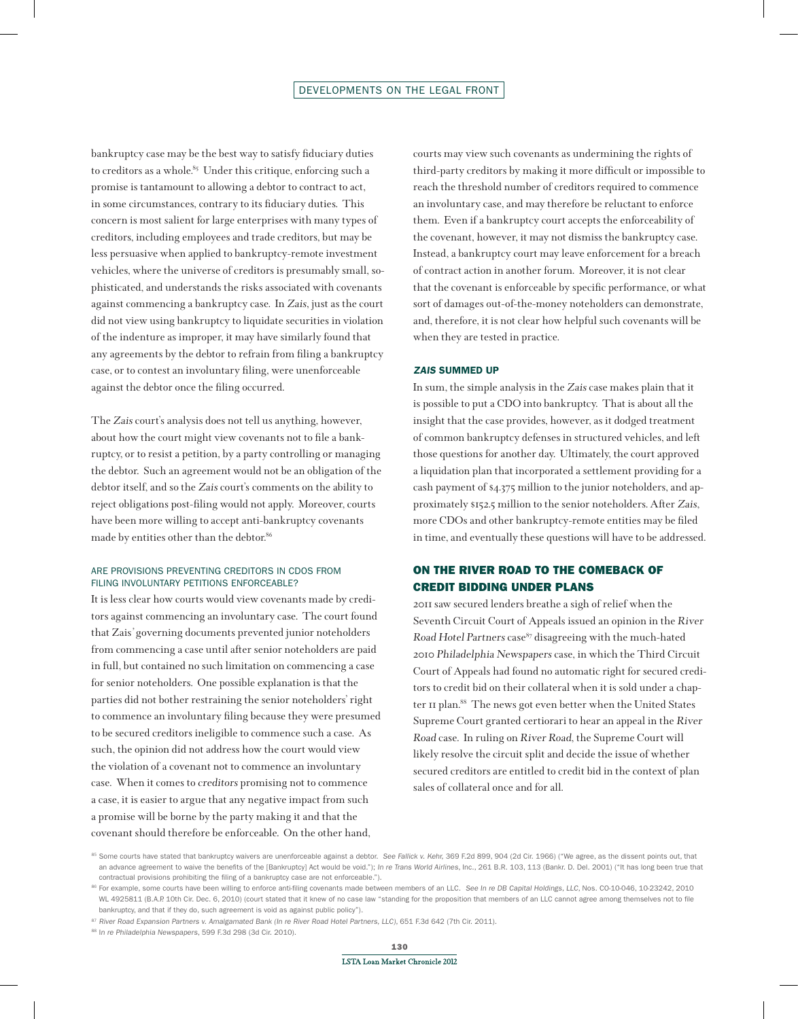bankruptcy case may be the best way to satisfy fiduciary duties to creditors as a whole.<sup>85</sup> Under this critique, enforcing such a promise is tantamount to allowing a debtor to contract to act, in some circumstances, contrary to its fiduciary duties. This concern is most salient for large enterprises with many types of creditors, including employees and trade creditors, but may be less persuasive when applied to bankruptcy-remote investment vehicles, where the universe of creditors is presumably small, sophisticated, and understands the risks associated with covenants against commencing a bankruptcy case. In Zais, just as the court did not view using bankruptcy to liquidate securities in violation of the indenture as improper, it may have similarly found that any agreements by the debtor to refrain from filing a bankruptcy case, or to contest an involuntary filing, were unenforceable against the debtor once the filing occurred.

The Zais court's analysis does not tell us anything, however, about how the court might view covenants not to file a bankruptcy, or to resist a petition, by a party controlling or managing the debtor. Such an agreement would not be an obligation of the debtor itself, and so the Zais court's comments on the ability to reject obligations post-filing would not apply. Moreover, courts have been more willing to accept anti-bankruptcy covenants made by entities other than the debtor.<sup>86</sup>

#### Are Provisions Preventing Creditors in CDOs from FILING INVOLUNTARY PETITIONS ENFORCEARLE?

It is less clear how courts would view covenants made by creditors against commencing an involuntary case. The court found that Zais' governing documents prevented junior noteholders from commencing a case until after senior noteholders are paid in full, but contained no such limitation on commencing a case for senior noteholders. One possible explanation is that the parties did not bother restraining the senior noteholders' right to commence an involuntary filing because they were presumed to be secured creditors ineligible to commence such a case. As such, the opinion did not address how the court would view the violation of a covenant not to commence an involuntary case. When it comes to creditors promising not to commence a case, it is easier to argue that any negative impact from such a promise will be borne by the party making it and that the covenant should therefore be enforceable. On the other hand,

courts may view such covenants as undermining the rights of third-party creditors by making it more difficult or impossible to reach the threshold number of creditors required to commence an involuntary case, and may therefore be reluctant to enforce them. Even if a bankruptcy court accepts the enforceability of the covenant, however, it may not dismiss the bankruptcy case. Instead, a bankruptcy court may leave enforcement for a breach of contract action in another forum. Moreover, it is not clear that the covenant is enforceable by specific performance, or what sort of damages out-of-the-money noteholders can demonstrate, and, therefore, it is not clear how helpful such covenants will be when they are tested in practice.

#### **ZAIS SUMMED UP**

In sum, the simple analysis in the Zais case makes plain that it is possible to put a CDO into bankruptcy. That is about all the insight that the case provides, however, as it dodged treatment of common bankruptcy defenses in structured vehicles, and left those questions for another day. Ultimately, the court approved a liquidation plan that incorporated a settlement providing for a cash payment of \$4.375 million to the junior noteholders, and approximately \$152.5 million to the senior noteholders. After Zais, more CDOs and other bankruptcy-remote entities may be filed in time, and eventually these questions will have to be addressed.

# ON THE RIVER ROAD TO THE COMEBACK OF CREDIT BIDDING UNDER PLANS

2011 saw secured lenders breathe a sigh of relief when the Seventh Circuit Court of Appeals issued an opinion in the River Road Hotel Partners case<sup>87</sup> disagreeing with the much-hated 2010 Philadelphia Newspapers case, in which the Third Circuit Court of Appeals had found no automatic right for secured creditors to credit bid on their collateral when it is sold under a chapter II plan.<sup>88</sup> The news got even better when the United States Supreme Court granted certiorari to hear an appeal in the River Road case. In ruling on River Road, the Supreme Court will likely resolve the circuit split and decide the issue of whether secured creditors are entitled to credit bid in the context of plan sales of collateral once and for all.

85 Some courts have stated that bankruptcy waivers are unenforceable against a debtor. See Fallick v. Kehr, 369 F.2d 899, 904 (2d Cir. 1966) ("We agree, as the dissent points out, that an advance agreement to waive the benefits of the [Bankruptcy] Act would be void."); In re Trans World Airlines, Inc., 261 B.R. 103, 113 (Bankr. D. Del. 2001) ("It has long been true that contractual provisions prohibiting the filing of a bankruptcy case are not enforceable.").

86 For example, some courts have been willing to enforce anti-filing covenants made between members of an LLC. See In re DB Capital Holdings, LLC, Nos. CO-10-046, 10-23242, 2010 WL 4925811 (B.A.P. 10th Cir. Dec. 6, 2010) (court stated that it knew of no case law "standing for the proposition that members of an LLC cannot agree among themselves not to file bankruptcy, and that if they do, such agreement is void as against public policy").

87 River Road Expansion Partners v. Amalgamated Bank (In re River Road Hotel Partners, LLC), 651 F.3d 642 (7th Cir. 2011).

88 In re Philadelphia Newspapers, 599 F.3d 298 (3d Cir. 2010).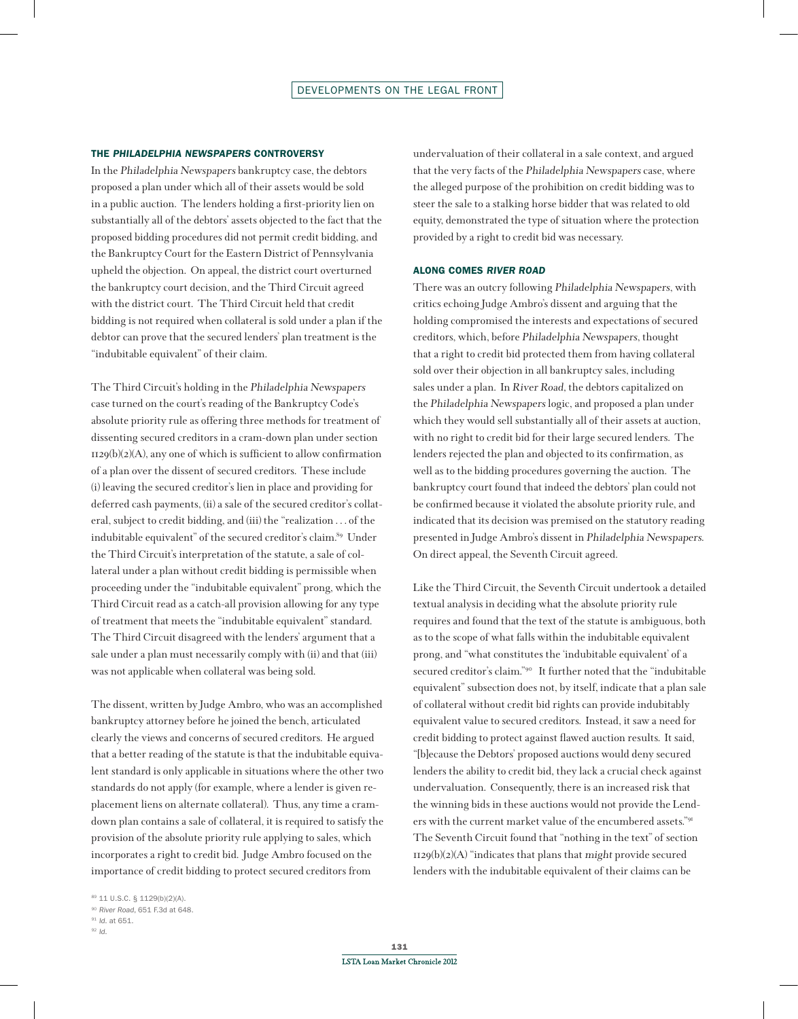#### THE PHILADELPHIA NEWSPAPERS CONTROVERSY

In the Philadelphia Newspapers bankruptcy case, the debtors proposed a plan under which all of their assets would be sold in a public auction. The lenders holding a first-priority lien on substantially all of the debtors' assets objected to the fact that the proposed bidding procedures did not permit credit bidding, and the Bankruptcy Court for the Eastern District of Pennsylvania upheld the objection. On appeal, the district court overturned the bankruptcy court decision, and the Third Circuit agreed with the district court. The Third Circuit held that credit bidding is not required when collateral is sold under a plan if the debtor can prove that the secured lenders' plan treatment is the "indubitable equivalent" of their claim.

The Third Circuit's holding in the Philadelphia Newspapers case turned on the court's reading of the Bankruptcy Code's absolute priority rule as offering three methods for treatment of dissenting secured creditors in a cram-down plan under section  $1129(b)(2)(A)$ , any one of which is sufficient to allow confirmation of a plan over the dissent of secured creditors. These include (i) leaving the secured creditor's lien in place and providing for deferred cash payments, (ii) a sale of the secured creditor's collateral, subject to credit bidding, and (iii) the "realization . . . of the indubitable equivalent" of the secured creditor's claim.89 Under the Third Circuit's interpretation of the statute, a sale of collateral under a plan without credit bidding is permissible when proceeding under the "indubitable equivalent" prong, which the Third Circuit read as a catch-all provision allowing for any type of treatment that meets the "indubitable equivalent" standard. The Third Circuit disagreed with the lenders' argument that a sale under a plan must necessarily comply with (ii) and that (iii) was not applicable when collateral was being sold.

The dissent, written by Judge Ambro, who was an accomplished bankruptcy attorney before he joined the bench, articulated clearly the views and concerns of secured creditors. He argued that a better reading of the statute is that the indubitable equivalent standard is only applicable in situations where the other two standards do not apply (for example, where a lender is given replacement liens on alternate collateral). Thus, any time a cramdown plan contains a sale of collateral, it is required to satisfy the provision of the absolute priority rule applying to sales, which incorporates a right to credit bid. Judge Ambro focused on the importance of credit bidding to protect secured creditors from

undervaluation of their collateral in a sale context, and argued that the very facts of the Philadelphia Newspapers case, where the alleged purpose of the prohibition on credit bidding was to steer the sale to a stalking horse bidder that was related to old equity, demonstrated the type of situation where the protection provided by a right to credit bid was necessary.

#### Along Comes River Road

There was an outcry following Philadelphia Newspapers, with critics echoing Judge Ambro's dissent and arguing that the holding compromised the interests and expectations of secured creditors, which, before Philadelphia Newspapers, thought that a right to credit bid protected them from having collateral sold over their objection in all bankruptcy sales, including sales under a plan. In River Road, the debtors capitalized on the Philadelphia Newspapers logic, and proposed a plan under which they would sell substantially all of their assets at auction, with no right to credit bid for their large secured lenders. The lenders rejected the plan and objected to its confirmation, as well as to the bidding procedures governing the auction. The bankruptcy court found that indeed the debtors' plan could not be confirmed because it violated the absolute priority rule, and indicated that its decision was premised on the statutory reading presented in Judge Ambro's dissent in Philadelphia Newspapers. On direct appeal, the Seventh Circuit agreed.

Like the Third Circuit, the Seventh Circuit undertook a detailed textual analysis in deciding what the absolute priority rule requires and found that the text of the statute is ambiguous, both as to the scope of what falls within the indubitable equivalent prong, and "what constitutes the 'indubitable equivalent' of a secured creditor's claim."90 It further noted that the "indubitable equivalent" subsection does not, by itself, indicate that a plan sale of collateral without credit bid rights can provide indubitably equivalent value to secured creditors. Instead, it saw a need for credit bidding to protect against flawed auction results. It said, "[b]ecause the Debtors' proposed auctions would deny secured lenders the ability to credit bid, they lack a crucial check against undervaluation. Consequently, there is an increased risk that the winning bids in these auctions would not provide the Lenders with the current market value of the encumbered assets."91 The Seventh Circuit found that "nothing in the text" of section  $1129(b)(2)(A)$  "indicates that plans that might provide secured lenders with the indubitable equivalent of their claims can be

<sup>91</sup> *Id.* at 651.

<sup>89 11</sup> U.S.C. § 1129(b)(2)(A).

<sup>90</sup> River Road, 651 F.3d at 648.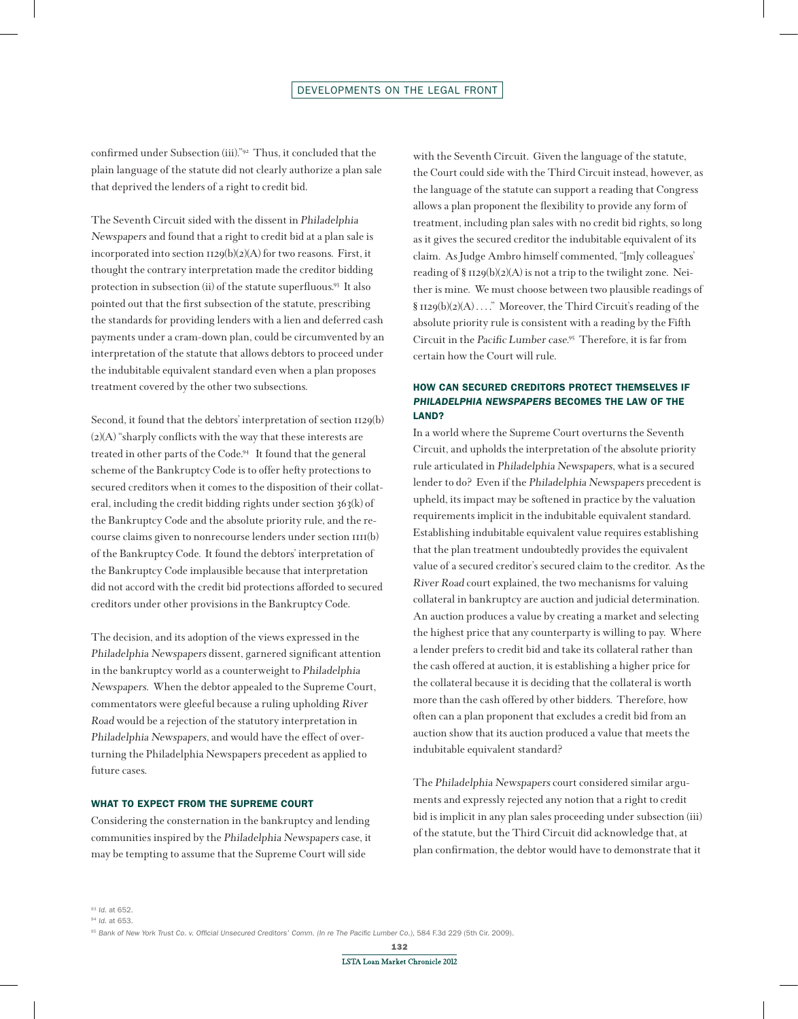confirmed under Subsection (iii)."92 Thus, it concluded that the plain language of the statute did not clearly authorize a plan sale that deprived the lenders of a right to credit bid.

The Seventh Circuit sided with the dissent in Philadelphia Newspapers and found that a right to credit bid at a plan sale is incorporated into section  $1129(b)(2)(A)$  for two reasons. First, it thought the contrary interpretation made the creditor bidding protection in subsection (ii) of the statute superfluous.93 It also pointed out that the first subsection of the statute, prescribing the standards for providing lenders with a lien and deferred cash payments under a cram-down plan, could be circumvented by an interpretation of the statute that allows debtors to proceed under the indubitable equivalent standard even when a plan proposes treatment covered by the other two subsections.

Second, it found that the debtors' interpretation of section  $1129(b)$ (2)(A) "sharply conflicts with the way that these interests are treated in other parts of the Code.94 It found that the general scheme of the Bankruptcy Code is to offer hefty protections to secured creditors when it comes to the disposition of their collateral, including the credit bidding rights under section 363(k) of the Bankruptcy Code and the absolute priority rule, and the recourse claims given to nonrecourse lenders under section 1111(b) of the Bankruptcy Code. It found the debtors' interpretation of the Bankruptcy Code implausible because that interpretation did not accord with the credit bid protections afforded to secured creditors under other provisions in the Bankruptcy Code.

The decision, and its adoption of the views expressed in the Philadelphia Newspapers dissent, garnered significant attention in the bankruptcy world as a counterweight to Philadelphia Newspapers. When the debtor appealed to the Supreme Court, commentators were gleeful because a ruling upholding River Road would be a rejection of the statutory interpretation in Philadelphia Newspapers, and would have the effect of overturning the Philadelphia Newspapers precedent as applied to future cases.

## WHAT TO EXPECT FROM THE SUPREME COURT

Considering the consternation in the bankruptcy and lending communities inspired by the Philadelphia Newspapers case, it may be tempting to assume that the Supreme Court will side

with the Seventh Circuit. Given the language of the statute, the Court could side with the Third Circuit instead, however, as the language of the statute can support a reading that Congress allows a plan proponent the flexibility to provide any form of treatment, including plan sales with no credit bid rights, so long as it gives the secured creditor the indubitable equivalent of its claim. As Judge Ambro himself commented, "[m]y colleagues' reading of  $\S$  II29(b)(2)(A) is not a trip to the twilight zone. Neither is mine. We must choose between two plausible readings of  $\S$  1129(b)(2)(A) ...." Moreover, the Third Circuit's reading of the absolute priority rule is consistent with a reading by the Fifth Circuit in the Pacific Lumber case. 95 Therefore, it is far from certain how the Court will rule.

## How Can Secured Creditors Protect Themselves if Philadelphia Newspapers Becomes the Law of the LAND?

In a world where the Supreme Court overturns the Seventh Circuit, and upholds the interpretation of the absolute priority rule articulated in Philadelphia Newspapers, what is a secured lender to do? Even if the Philadelphia Newspapers precedent is upheld, its impact may be softened in practice by the valuation requirements implicit in the indubitable equivalent standard. Establishing indubitable equivalent value requires establishing that the plan treatment undoubtedly provides the equivalent value of a secured creditor's secured claim to the creditor. As the River Road court explained, the two mechanisms for valuing collateral in bankruptcy are auction and judicial determination. An auction produces a value by creating a market and selecting the highest price that any counterparty is willing to pay. Where a lender prefers to credit bid and take its collateral rather than the cash offered at auction, it is establishing a higher price for the collateral because it is deciding that the collateral is worth more than the cash offered by other bidders. Therefore, how often can a plan proponent that excludes a credit bid from an auction show that its auction produced a value that meets the indubitable equivalent standard?

The Philadelphia Newspapers court considered similar arguments and expressly rejected any notion that a right to credit bid is implicit in any plan sales proceeding under subsection (iii) of the statute, but the Third Circuit did acknowledge that, at plan confirmation, the debtor would have to demonstrate that it

132

<sup>93</sup> Id. at 652

<sup>94</sup> Id. at 653.

<sup>95</sup> Bank of New York Trust Co. v. Official Unsecured Creditors' Comm. (In re The Pacific Lumber Co.), 584 F.3d 229 (5th Cir. 2009).